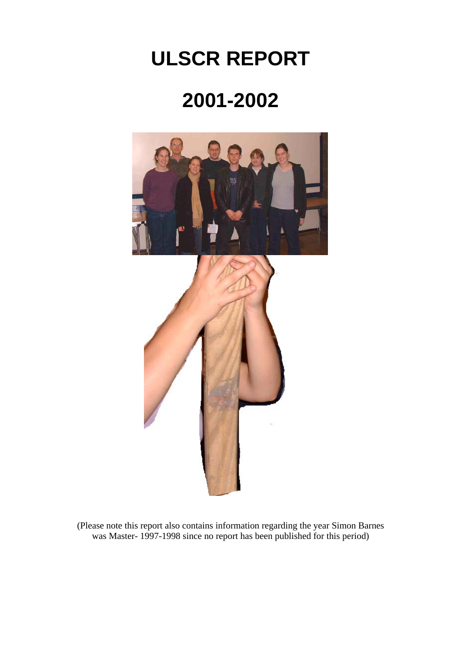# **ULSCR REPORT**

# **2001-2002**



(Please note this report also contains information regarding the year Simon Barnes was Master- 1997-1998 since no report has been published for this period)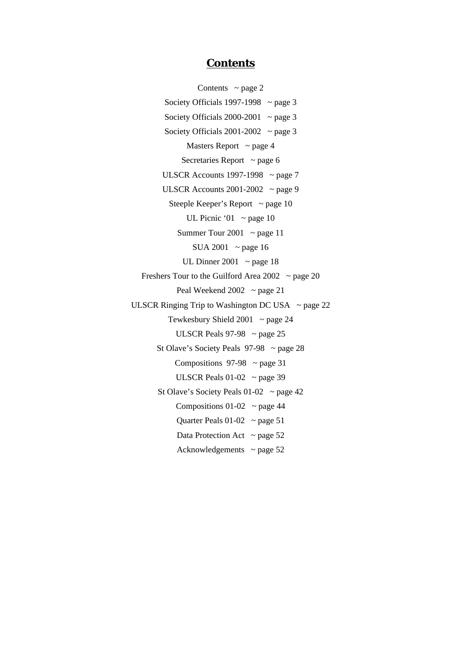## **Contents**

Contents  $\sim$  page 2 Society Officials 1997-1998  $\sim$  page 3 Society Officials 2000-2001  $\sim$  page 3 Society Officials 2001-2002  $\sim$  page 3 Masters Report  $\sim$  page 4 Secretaries Report  $\sim$  page 6 ULSCR Accounts 1997-1998  $\sim$  page 7 ULSCR Accounts  $2001-2002$  ~ page 9 Steeple Keeper's Report  $\sim$  page 10 UL Picnic '01  $\sim$  page 10 Summer Tour 2001  $\sim$  page 11 SUA 2001  $\sim$  page 16 UL Dinner 2001  $\sim$  page 18 Freshers Tour to the Guilford Area  $2002 \sim$  page 20 Peal Weekend  $2002 \sim$  page 21 ULSCR Ringing Trip to Washington DC USA  $\sim$  page 22 Tewkesbury Shield 2001  $\sim$  page 24 ULSCR Peals  $97-98$  ~ page 25 St Olave's Society Peals  $97-98$  ~ page 28 Compositions  $97-98 \sim$  page 31 ULSCR Peals  $01-02$  ~ page 39 St Olave's Society Peals  $01-02$  ~ page 42 Compositions  $01-02$  ~ page 44 Quarter Peals  $01-02$  ~ page 51 Data Protection Act  $\sim$  page 52 Acknowledgements  $\sim$  page 52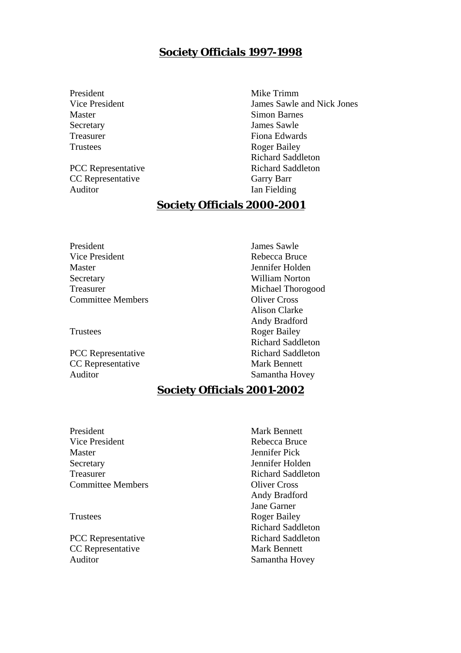# **Society Officials 1997-1998**

President Mike Trimm Master Simon Barnes Secretary James Sawle Trustees Roger Bailey

CC Representative Garry Barr Auditor Ian Fielding

Vice President James Sawle and Nick Jones Treasurer Fiona Edwards Richard Saddleton PCC Representative Richard Saddleton

# **Society Officials 2000-2001**

President James Sawle Vice President Rebecca Bruce Master **Master** Jennifer Holden Secretary William Norton Treasurer Michael Thorogood Committee Members Oliver Cross

CC Representative Mark Bennett Auditor Samantha Hovey

Alison Clarke Andy Bradford Trustees Roger Bailey Richard Saddleton PCC Representative Richard Saddleton

# **Society Officials 2001-2002**

President Mark Bennett Vice President Rebecca Bruce Master Jennifer Pick Secretary **Jennifer Holden** Treasurer **Richard Saddleton** Committee Members Oliver Cross

CC Representative Mark Bennett Auditor Samantha Hovey

Andy Bradford Jane Garner Trustees Roger Bailey Richard Saddleton PCC Representative Richard Saddleton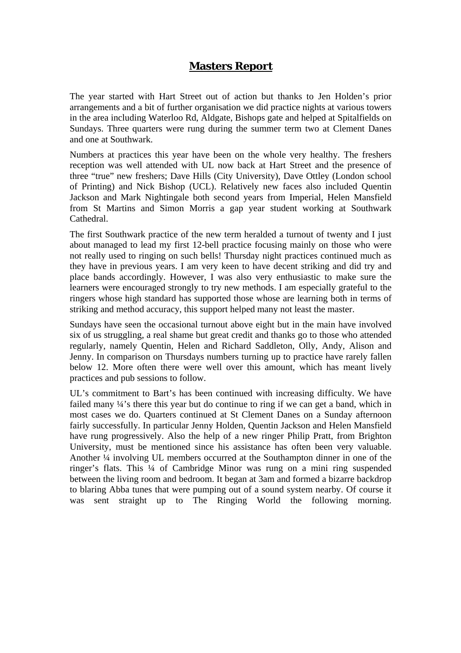# **Masters Report**

The year started with Hart Street out of action but thanks to Jen Holden's prior arrangements and a bit of further organisation we did practice nights at various towers in the area including Waterloo Rd, Aldgate, Bishops gate and helped at Spitalfields on Sundays. Three quarters were rung during the summer term two at Clement Danes and one at Southwark.

Numbers at practices this year have been on the whole very healthy. The freshers reception was well attended with UL now back at Hart Street and the presence of three "true" new freshers; Dave Hills (City University), Dave Ottley (London school of Printing) and Nick Bishop (UCL). Relatively new faces also included Quentin Jackson and Mark Nightingale both second years from Imperial, Helen Mansfield from St Martins and Simon Morris a gap year student working at Southwark Cathedral.

The first Southwark practice of the new term heralded a turnout of twenty and I just about managed to lead my first 12-bell practice focusing mainly on those who were not really used to ringing on such bells! Thursday night practices continued much as they have in previous years. I am very keen to have decent striking and did try and place bands accordingly. However, I was also very enthusiastic to make sure the learners were encouraged strongly to try new methods. I am especially grateful to the ringers whose high standard has supported those whose are learning both in terms of striking and method accuracy, this support helped many not least the master.

Sundays have seen the occasional turnout above eight but in the main have involved six of us struggling, a real shame but great credit and thanks go to those who attended regularly, namely Quentin, Helen and Richard Saddleton, Olly, Andy, Alison and Jenny. In comparison on Thursdays numbers turning up to practice have rarely fallen below 12. More often there were well over this amount, which has meant lively practices and pub sessions to follow.

UL's commitment to Bart's has been continued with increasing difficulty. We have failed many  $\frac{1}{4}$ 's there this year but do continue to ring if we can get a band, which in most cases we do. Quarters continued at St Clement Danes on a Sunday afternoon fairly successfully. In particular Jenny Holden, Quentin Jackson and Helen Mansfield have rung progressively. Also the help of a new ringer Philip Pratt, from Brighton University, must be mentioned since his assistance has often been very valuable. Another ¼ involving UL members occurred at the Southampton dinner in one of the ringer's flats. This ¼ of Cambridge Minor was rung on a mini ring suspended between the living room and bedroom. It began at 3am and formed a bizarre backdrop to blaring Abba tunes that were pumping out of a sound system nearby. Of course it was sent straight up to The Ringing World the following morning.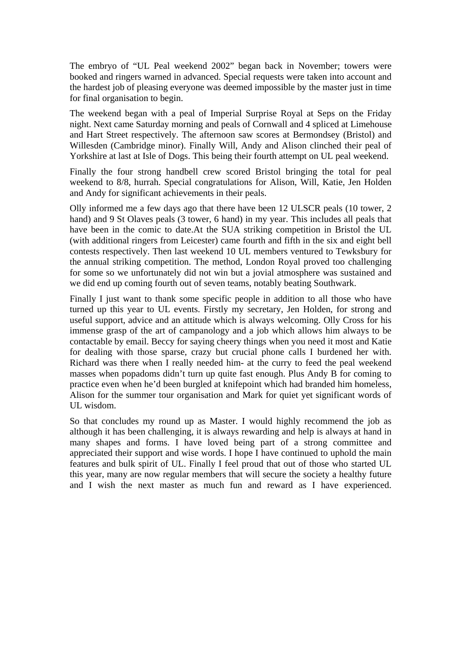The embryo of "UL Peal weekend 2002" began back in November; towers were booked and ringers warned in advanced. Special requests were taken into account and the hardest job of pleasing everyone was deemed impossible by the master just in time for final organisation to begin.

The weekend began with a peal of Imperial Surprise Royal at Seps on the Friday night. Next came Saturday morning and peals of Cornwall and 4 spliced at Limehouse and Hart Street respectively. The afternoon saw scores at Bermondsey (Bristol) and Willesden (Cambridge minor). Finally Will, Andy and Alison clinched their peal of Yorkshire at last at Isle of Dogs. This being their fourth attempt on UL peal weekend.

Finally the four strong handbell crew scored Bristol bringing the total for peal weekend to 8/8, hurrah. Special congratulations for Alison, Will, Katie, Jen Holden and Andy for significant achievements in their peals.

Olly informed me a few days ago that there have been 12 ULSCR peals (10 tower, 2 hand) and 9 St Olaves peals (3 tower, 6 hand) in my year. This includes all peals that have been in the comic to date.At the SUA striking competition in Bristol the UL (with additional ringers from Leicester) came fourth and fifth in the six and eight bell contests respectively. Then last weekend 10 UL members ventured to Tewksbury for the annual striking competition. The method, London Royal proved too challenging for some so we unfortunately did not win but a jovial atmosphere was sustained and we did end up coming fourth out of seven teams, notably beating Southwark.

Finally I just want to thank some specific people in addition to all those who have turned up this year to UL events. Firstly my secretary, Jen Holden, for strong and useful support, advice and an attitude which is always welcoming. Olly Cross for his immense grasp of the art of campanology and a job which allows him always to be contactable by email. Beccy for saying cheery things when you need it most and Katie for dealing with those sparse, crazy but crucial phone calls I burdened her with. Richard was there when I really needed him- at the curry to feed the peal weekend masses when popadoms didn't turn up quite fast enough. Plus Andy B for coming to practice even when he'd been burgled at knifepoint which had branded him homeless, Alison for the summer tour organisation and Mark for quiet yet significant words of UL wisdom.

So that concludes my round up as Master. I would highly recommend the job as although it has been challenging, it is always rewarding and help is always at hand in many shapes and forms. I have loved being part of a strong committee and appreciated their support and wise words. I hope I have continued to uphold the main features and bulk spirit of UL. Finally I feel proud that out of those who started UL this year, many are now regular members that will secure the society a healthy future and I wish the next master as much fun and reward as I have experienced.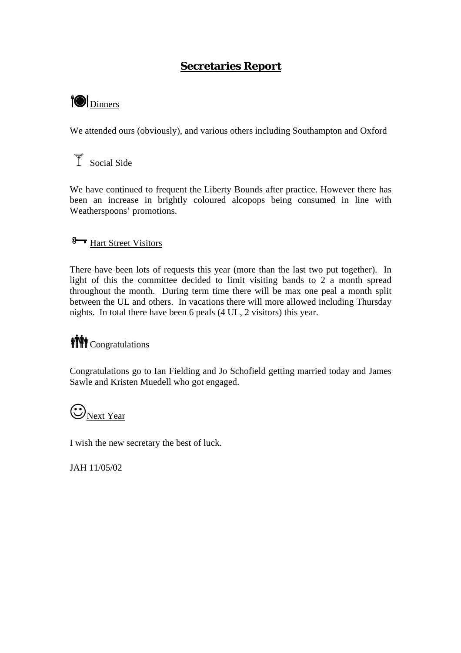# **Secretaries Report**

# **OD** Dinners

We attended ours (obviously), and various others including Southampton and Oxford

# $\overrightarrow{1}$  Social Side

We have continued to frequent the Liberty Bounds after practice. However there has been an increase in brightly coloured alcopops being consumed in line with Weatherspoons' promotions.

# 8<sub>T</sub> Hart Street Visitors

There have been lots of requests this year (more than the last two put together). In light of this the committee decided to limit visiting bands to 2 a month spread throughout the month. During term time there will be max one peal a month split between the UL and others. In vacations there will more allowed including Thursday nights. In total there have been 6 peals (4 UL, 2 visitors) this year.

# **WW** Congratulations

Congratulations go to Ian Fielding and Jo Schofield getting married today and James Sawle and Kristen Muedell who got engaged.

# $\bigodot_{\text{Ne$

I wish the new secretary the best of luck.

JAH 11/05/02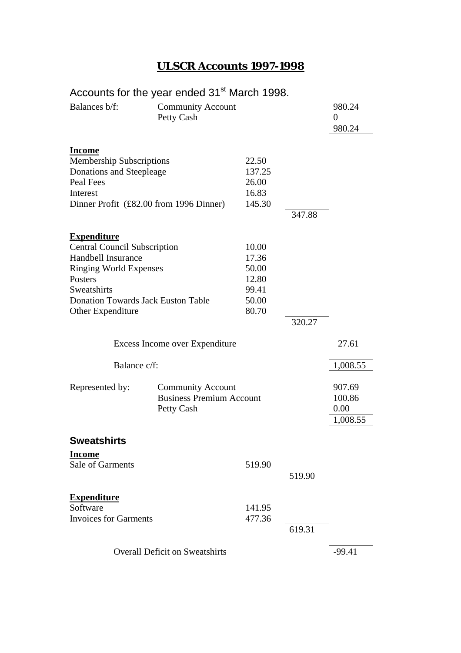# **ULSCR Accounts 1997-1998**

# Accounts for the year ended 31<sup>st</sup> March 1998.

| Balances b/f:                                                                                                                                                                                                | <b>Community Account</b><br>Petty Cash                                    |                                                             |        | 980.24<br>0<br>980.24                |
|--------------------------------------------------------------------------------------------------------------------------------------------------------------------------------------------------------------|---------------------------------------------------------------------------|-------------------------------------------------------------|--------|--------------------------------------|
| <b>Income</b><br><b>Membership Subscriptions</b><br>Donations and Steepleage<br>Peal Fees<br>Interest                                                                                                        | Dinner Profit (£82.00 from 1996 Dinner)                                   | 22.50<br>137.25<br>26.00<br>16.83<br>145.30                 | 347.88 |                                      |
| <b>Expenditure</b><br><b>Central Council Subscription</b><br>Handbell Insurance<br><b>Ringing World Expenses</b><br>Posters<br>Sweatshirts<br><b>Donation Towards Jack Euston Table</b><br>Other Expenditure |                                                                           | 10.00<br>17.36<br>50.00<br>12.80<br>99.41<br>50.00<br>80.70 | 320.27 |                                      |
| Excess Income over Expenditure                                                                                                                                                                               |                                                                           |                                                             |        | 27.61                                |
| Balance c/f:                                                                                                                                                                                                 |                                                                           |                                                             |        | 1,008.55                             |
| Represented by:                                                                                                                                                                                              | <b>Community Account</b><br><b>Business Premium Account</b><br>Petty Cash |                                                             |        | 907.69<br>100.86<br>0.00<br>1,008.55 |
| <b>Sweatshirts</b>                                                                                                                                                                                           |                                                                           |                                                             |        |                                      |
| <b>Income</b><br>Sale of Garments                                                                                                                                                                            |                                                                           | 519.90                                                      | 519.90 |                                      |
| <b>Expenditure</b><br>Software<br><b>Invoices for Garments</b>                                                                                                                                               |                                                                           | 141.95<br>477.36                                            | 619.31 |                                      |
|                                                                                                                                                                                                              | <b>Overall Deficit on Sweatshirts</b>                                     |                                                             |        | $-99.41$                             |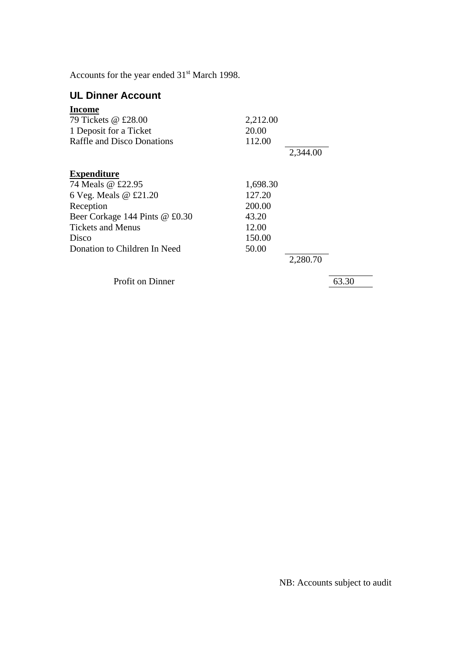Accounts for the year ended  $31<sup>st</sup>$  March 1998.

# **UL Dinner Account**

| <b>Income</b>                  |          |          |
|--------------------------------|----------|----------|
| 79 Tickets @ £28.00            | 2,212.00 |          |
| 1 Deposit for a Ticket         | 20.00    |          |
| Raffle and Disco Donations     | 112.00   |          |
|                                |          | 2,344.00 |
| <b>Expenditure</b>             |          |          |
| 74 Meals @ £22.95              | 1,698.30 |          |
| 6 Veg. Meals @ £21.20          | 127.20   |          |
| Reception                      | 200.00   |          |
| Beer Corkage 144 Pints @ £0.30 | 43.20    |          |
| <b>Tickets and Menus</b>       | 12.00    |          |
| Disco                          | 150.00   |          |
| Donation to Children In Need   | 50.00    |          |
|                                |          | 2,280.70 |
|                                |          |          |

Profit on Dinner 63.30

NB: Accounts subject to audit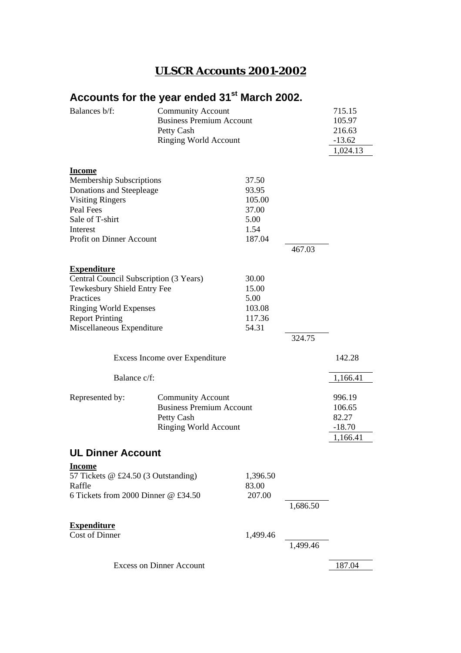# **ULSCR Accounts 2001-2002**

# Accounts for the year ended 31<sup>st</sup> March 2002.

| Balances b/f:                                                                                                                                                                                    | Petty Cash                                                                                                | <b>Community Account</b><br><b>Business Premium Account</b><br><b>Ringing World Account</b> |          |                                                   |  |
|--------------------------------------------------------------------------------------------------------------------------------------------------------------------------------------------------|-----------------------------------------------------------------------------------------------------------|---------------------------------------------------------------------------------------------|----------|---------------------------------------------------|--|
| <b>Income</b><br><b>Membership Subscriptions</b><br>Donations and Steepleage<br><b>Visiting Ringers</b><br>Peal Fees<br>Sale of T-shirt<br>Interest<br>Profit on Dinner Account                  |                                                                                                           | 37.50<br>93.95<br>105.00<br>37.00<br>5.00<br>1.54<br>187.04                                 | 467.03   |                                                   |  |
| <b>Expenditure</b><br>Central Council Subscription (3 Years)<br>Tewkesbury Shield Entry Fee<br>Practices<br><b>Ringing World Expenses</b><br><b>Report Printing</b><br>Miscellaneous Expenditure |                                                                                                           | 30.00<br>15.00<br>5.00<br>103.08<br>117.36<br>54.31                                         | 324.75   |                                                   |  |
|                                                                                                                                                                                                  | Excess Income over Expenditure                                                                            |                                                                                             |          | 142.28                                            |  |
| Balance c/f:                                                                                                                                                                                     |                                                                                                           |                                                                                             |          | 1,166.41                                          |  |
| Represented by:                                                                                                                                                                                  | <b>Community Account</b><br><b>Business Premium Account</b><br>Petty Cash<br><b>Ringing World Account</b> |                                                                                             |          | 996.19<br>106.65<br>82.27<br>$-18.70$<br>1,166.41 |  |
| <b>UL Dinner Account</b>                                                                                                                                                                         |                                                                                                           |                                                                                             |          |                                                   |  |
| <b>Income</b><br>57 Tickets @ £24.50 (3 Outstanding)<br>Raffle<br>6 Tickets from 2000 Dinner $@$ £34.50                                                                                          |                                                                                                           | 1,396.50<br>83.00<br>207.00                                                                 | 1,686.50 |                                                   |  |
| <b>Expenditure</b><br>Cost of Dinner                                                                                                                                                             |                                                                                                           | 1,499.46                                                                                    | 1,499.46 |                                                   |  |
|                                                                                                                                                                                                  | <b>Excess on Dinner Account</b>                                                                           |                                                                                             |          | 187.04                                            |  |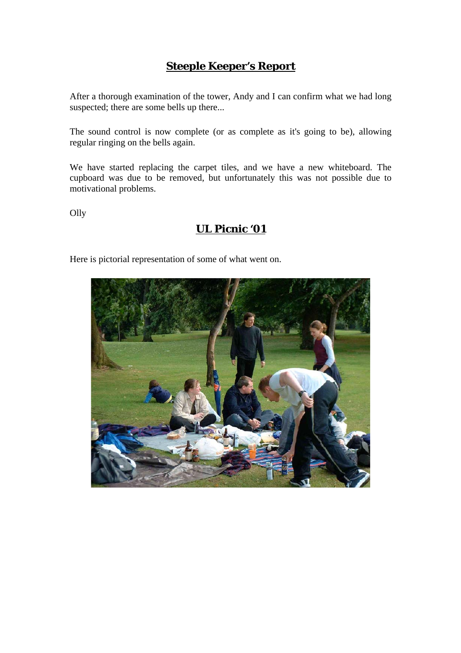# **Steeple Keeper's Report**

After a thorough examination of the tower, Andy and I can confirm what we had long suspected; there are some bells up there...

The sound control is now complete (or as complete as it's going to be), allowing regular ringing on the bells again.

We have started replacing the carpet tiles, and we have a new whiteboard. The cupboard was due to be removed, but unfortunately this was not possible due to motivational problems.

Olly

# **UL Picnic '01**

Here is pictorial representation of some of what went on.

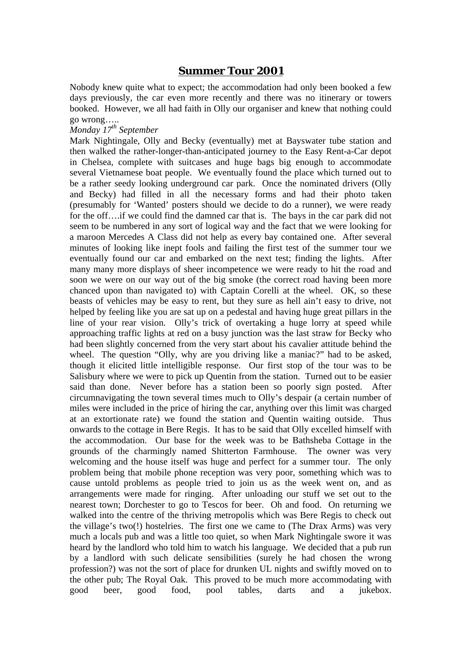# **Summer Tour 2001**

Nobody knew quite what to expect; the accommodation had only been booked a few days previously, the car even more recently and there was no itinerary or towers booked. However, we all had faith in Olly our organiser and knew that nothing could go wrong…..

## *Monday 17th September*

Mark Nightingale, Olly and Becky (eventually) met at Bayswater tube station and then walked the rather-longer-than-anticipated journey to the Easy Rent-a-Car depot in Chelsea, complete with suitcases and huge bags big enough to accommodate several Vietnamese boat people. We eventually found the place which turned out to be a rather seedy looking underground car park. Once the nominated drivers (Olly and Becky) had filled in all the necessary forms and had their photo taken (presumably for 'Wanted' posters should we decide to do a runner), we were ready for the off….if we could find the damned car that is. The bays in the car park did not seem to be numbered in any sort of logical way and the fact that we were looking for a maroon Mercedes A Class did not help as every bay contained one. After several minutes of looking like inept fools and failing the first test of the summer tour we eventually found our car and embarked on the next test; finding the lights. After many many more displays of sheer incompetence we were ready to hit the road and soon we were on our way out of the big smoke (the correct road having been more chanced upon than navigated to) with Captain Corelli at the wheel. OK, so these beasts of vehicles may be easy to rent, but they sure as hell ain't easy to drive, not helped by feeling like you are sat up on a pedestal and having huge great pillars in the line of your rear vision. Olly's trick of overtaking a huge lorry at speed while approaching traffic lights at red on a busy junction was the last straw for Becky who had been slightly concerned from the very start about his cavalier attitude behind the wheel. The question "Olly, why are you driving like a maniac?" had to be asked, though it elicited little intelligible response. Our first stop of the tour was to be Salisbury where we were to pick up Quentin from the station. Turned out to be easier said than done. Never before has a station been so poorly sign posted. After circumnavigating the town several times much to Olly's despair (a certain number of miles were included in the price of hiring the car, anything over this limit was charged at an extortionate rate) we found the station and Quentin waiting outside. Thus onwards to the cottage in Bere Regis. It has to be said that Olly excelled himself with the accommodation. Our base for the week was to be Bathsheba Cottage in the grounds of the charmingly named Shitterton Farmhouse. The owner was very welcoming and the house itself was huge and perfect for a summer tour. The only problem being that mobile phone reception was very poor, something which was to cause untold problems as people tried to join us as the week went on, and as arrangements were made for ringing. After unloading our stuff we set out to the nearest town; Dorchester to go to Tescos for beer. Oh and food. On returning we walked into the centre of the thriving metropolis which was Bere Regis to check out the village's two(!) hostelries. The first one we came to (The Drax Arms) was very much a locals pub and was a little too quiet, so when Mark Nightingale swore it was heard by the landlord who told him to watch his language. We decided that a pub run by a landlord with such delicate sensibilities (surely he had chosen the wrong profession?) was not the sort of place for drunken UL nights and swiftly moved on to the other pub; The Royal Oak. This proved to be much more accommodating with good beer, good food, pool tables, darts and a jukebox.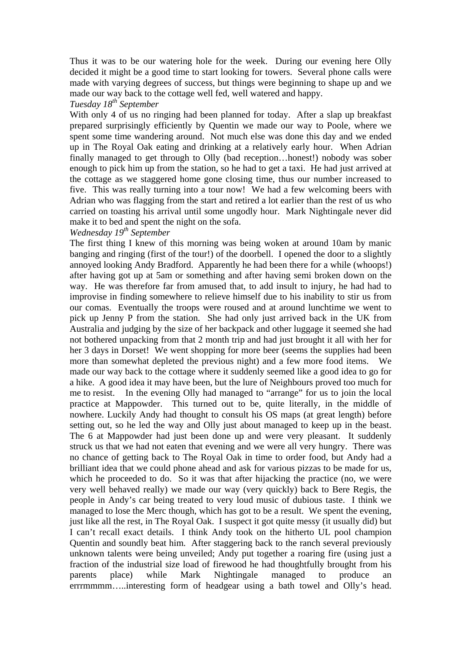Thus it was to be our watering hole for the week. During our evening here Olly decided it might be a good time to start looking for towers. Several phone calls were made with varying degrees of success, but things were beginning to shape up and we made our way back to the cottage well fed, well watered and happy. *Tuesday 18th September*

With only 4 of us no ringing had been planned for today. After a slap up breakfast prepared surprisingly efficiently by Quentin we made our way to Poole, where we spent some time wandering around. Not much else was done this day and we ended up in The Royal Oak eating and drinking at a relatively early hour. When Adrian finally managed to get through to Olly (bad reception…honest!) nobody was sober enough to pick him up from the station, so he had to get a taxi. He had just arrived at

the cottage as we staggered home gone closing time, thus our number increased to five. This was really turning into a tour now! We had a few welcoming beers with Adrian who was flagging from the start and retired a lot earlier than the rest of us who carried on toasting his arrival until some ungodly hour. Mark Nightingale never did make it to bed and spent the night on the sofa.

## *Wednesday 19th September*

The first thing I knew of this morning was being woken at around 10am by manic banging and ringing (first of the tour!) of the doorbell. I opened the door to a slightly annoyed looking Andy Bradford. Apparently he had been there for a while (whoops!) after having got up at 5am or something and after having semi broken down on the way. He was therefore far from amused that, to add insult to injury, he had had to improvise in finding somewhere to relieve himself due to his inability to stir us from our comas. Eventually the troops were roused and at around lunchtime we went to pick up Jenny P from the station. She had only just arrived back in the UK from Australia and judging by the size of her backpack and other luggage it seemed she had not bothered unpacking from that 2 month trip and had just brought it all with her for her 3 days in Dorset! We went shopping for more beer (seems the supplies had been more than somewhat depleted the previous night) and a few more food items. We made our way back to the cottage where it suddenly seemed like a good idea to go for a hike. A good idea it may have been, but the lure of Neighbours proved too much for me to resist. In the evening Olly had managed to "arrange" for us to join the local practice at Mappowder. This turned out to be, quite literally, in the middle of nowhere. Luckily Andy had thought to consult his OS maps (at great length) before setting out, so he led the way and Olly just about managed to keep up in the beast. The 6 at Mappowder had just been done up and were very pleasant. It suddenly struck us that we had not eaten that evening and we were all very hungry. There was no chance of getting back to The Royal Oak in time to order food, but Andy had a brilliant idea that we could phone ahead and ask for various pizzas to be made for us, which he proceeded to do. So it was that after hijacking the practice (no, we were very well behaved really) we made our way (very quickly) back to Bere Regis, the people in Andy's car being treated to very loud music of dubious taste. I think we managed to lose the Merc though, which has got to be a result. We spent the evening, just like all the rest, in The Royal Oak. I suspect it got quite messy (it usually did) but I can't recall exact details. I think Andy took on the hitherto UL pool champion Quentin and soundly beat him. After staggering back to the ranch several previously unknown talents were being unveiled; Andy put together a roaring fire (using just a fraction of the industrial size load of firewood he had thoughtfully brought from his parents place) while Mark Nightingale managed to produce an errrmmmm…..interesting form of headgear using a bath towel and Olly's head.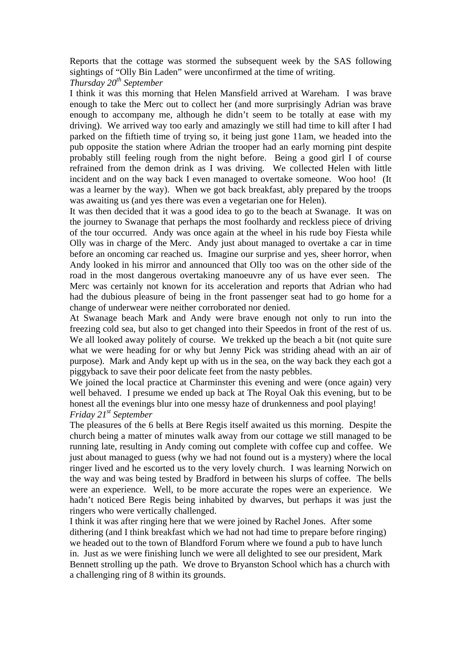Reports that the cottage was stormed the subsequent week by the SAS following sightings of "Olly Bin Laden" were unconfirmed at the time of writing.

*Thursday 20th September*

I think it was this morning that Helen Mansfield arrived at Wareham. I was brave enough to take the Merc out to collect her (and more surprisingly Adrian was brave enough to accompany me, although he didn't seem to be totally at ease with my driving). We arrived way too early and amazingly we still had time to kill after I had parked on the fiftieth time of trying so, it being just gone 11am, we headed into the pub opposite the station where Adrian the trooper had an early morning pint despite probably still feeling rough from the night before. Being a good girl I of course refrained from the demon drink as I was driving. We collected Helen with little incident and on the way back I even managed to overtake someone. Woo hoo! (It was a learner by the way). When we got back breakfast, ably prepared by the troops was awaiting us (and yes there was even a vegetarian one for Helen).

It was then decided that it was a good idea to go to the beach at Swanage. It was on the journey to Swanage that perhaps the most foolhardy and reckless piece of driving of the tour occurred. Andy was once again at the wheel in his rude boy Fiesta while Olly was in charge of the Merc. Andy just about managed to overtake a car in time before an oncoming car reached us. Imagine our surprise and yes, sheer horror, when Andy looked in his mirror and announced that Olly too was on the other side of the road in the most dangerous overtaking manoeuvre any of us have ever seen. The Merc was certainly not known for its acceleration and reports that Adrian who had had the dubious pleasure of being in the front passenger seat had to go home for a change of underwear were neither corroborated nor denied.

At Swanage beach Mark and Andy were brave enough not only to run into the freezing cold sea, but also to get changed into their Speedos in front of the rest of us. We all looked away politely of course. We trekked up the beach a bit (not quite sure what we were heading for or why but Jenny Pick was striding ahead with an air of purpose). Mark and Andy kept up with us in the sea, on the way back they each got a piggyback to save their poor delicate feet from the nasty pebbles.

We joined the local practice at Charminster this evening and were (once again) very well behaved. I presume we ended up back at The Royal Oak this evening, but to be honest all the evenings blur into one messy haze of drunkenness and pool playing! *Friday 21st September*

The pleasures of the 6 bells at Bere Regis itself awaited us this morning. Despite the church being a matter of minutes walk away from our cottage we still managed to be running late, resulting in Andy coming out complete with coffee cup and coffee. We just about managed to guess (why we had not found out is a mystery) where the local ringer lived and he escorted us to the very lovely church. I was learning Norwich on the way and was being tested by Bradford in between his slurps of coffee. The bells were an experience. Well, to be more accurate the ropes were an experience. We hadn't noticed Bere Regis being inhabited by dwarves, but perhaps it was just the ringers who were vertically challenged.

I think it was after ringing here that we were joined by Rachel Jones. After some dithering (and I think breakfast which we had not had time to prepare before ringing) we headed out to the town of Blandford Forum where we found a pub to have lunch in. Just as we were finishing lunch we were all delighted to see our president, Mark Bennett strolling up the path. We drove to Bryanston School which has a church with a challenging ring of 8 within its grounds.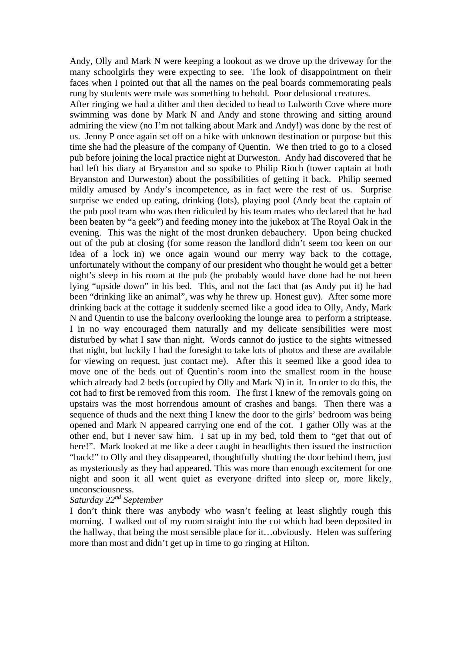Andy, Olly and Mark N were keeping a lookout as we drove up the driveway for the many schoolgirls they were expecting to see. The look of disappointment on their faces when I pointed out that all the names on the peal boards commemorating peals rung by students were male was something to behold. Poor delusional creatures.

After ringing we had a dither and then decided to head to Lulworth Cove where more swimming was done by Mark N and Andy and stone throwing and sitting around admiring the view (no I'm not talking about Mark and Andy!) was done by the rest of us. Jenny P once again set off on a hike with unknown destination or purpose but this time she had the pleasure of the company of Quentin. We then tried to go to a closed pub before joining the local practice night at Durweston. Andy had discovered that he had left his diary at Bryanston and so spoke to Philip Rioch (tower captain at both Bryanston and Durweston) about the possibilities of getting it back. Philip seemed mildly amused by Andy's incompetence, as in fact were the rest of us. Surprise surprise we ended up eating, drinking (lots), playing pool (Andy beat the captain of the pub pool team who was then ridiculed by his team mates who declared that he had been beaten by "a geek") and feeding money into the jukebox at The Royal Oak in the evening. This was the night of the most drunken debauchery. Upon being chucked out of the pub at closing (for some reason the landlord didn't seem too keen on our idea of a lock in) we once again wound our merry way back to the cottage, unfortunately without the company of our president who thought he would get a better night's sleep in his room at the pub (he probably would have done had he not been lying "upside down" in his bed. This, and not the fact that (as Andy put it) he had been "drinking like an animal", was why he threw up. Honest guv). After some more drinking back at the cottage it suddenly seemed like a good idea to Olly, Andy, Mark N and Quentin to use the balcony overlooking the lounge area to perform a striptease. I in no way encouraged them naturally and my delicate sensibilities were most disturbed by what I saw than night. Words cannot do justice to the sights witnessed that night, but luckily I had the foresight to take lots of photos and these are available for viewing on request, just contact me). After this it seemed like a good idea to move one of the beds out of Quentin's room into the smallest room in the house which already had 2 beds (occupied by Olly and Mark N) in it. In order to do this, the cot had to first be removed from this room. The first I knew of the removals going on upstairs was the most horrendous amount of crashes and bangs. Then there was a sequence of thuds and the next thing I knew the door to the girls' bedroom was being opened and Mark N appeared carrying one end of the cot. I gather Olly was at the other end, but I never saw him. I sat up in my bed, told them to "get that out of here!". Mark looked at me like a deer caught in headlights then issued the instruction "back!" to Olly and they disappeared, thoughtfully shutting the door behind them, just as mysteriously as they had appeared. This was more than enough excitement for one night and soon it all went quiet as everyone drifted into sleep or, more likely, unconsciousness.

## *Saturday 22nd September*

I don't think there was anybody who wasn't feeling at least slightly rough this morning. I walked out of my room straight into the cot which had been deposited in the hallway, that being the most sensible place for it…obviously. Helen was suffering more than most and didn't get up in time to go ringing at Hilton.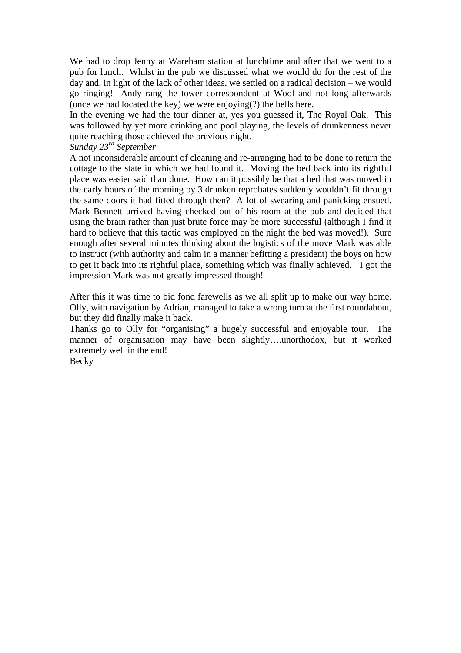We had to drop Jenny at Wareham station at lunchtime and after that we went to a pub for lunch. Whilst in the pub we discussed what we would do for the rest of the day and, in light of the lack of other ideas, we settled on a radical decision – we would go ringing! Andy rang the tower correspondent at Wool and not long afterwards (once we had located the key) we were enjoying(?) the bells here.

In the evening we had the tour dinner at, yes you guessed it, The Royal Oak. This was followed by yet more drinking and pool playing, the levels of drunkenness never quite reaching those achieved the previous night.

## *Sunday 23rd September*

A not inconsiderable amount of cleaning and re-arranging had to be done to return the cottage to the state in which we had found it. Moving the bed back into its rightful place was easier said than done. How can it possibly be that a bed that was moved in the early hours of the morning by 3 drunken reprobates suddenly wouldn't fit through the same doors it had fitted through then? A lot of swearing and panicking ensued. Mark Bennett arrived having checked out of his room at the pub and decided that using the brain rather than just brute force may be more successful (although I find it hard to believe that this tactic was employed on the night the bed was moved!). Sure enough after several minutes thinking about the logistics of the move Mark was able to instruct (with authority and calm in a manner befitting a president) the boys on how to get it back into its rightful place, something which was finally achieved. I got the impression Mark was not greatly impressed though!

After this it was time to bid fond farewells as we all split up to make our way home. Olly, with navigation by Adrian, managed to take a wrong turn at the first roundabout, but they did finally make it back.

Thanks go to Olly for "organising" a hugely successful and enjoyable tour. The manner of organisation may have been slightly….unorthodox, but it worked extremely well in the end!

Becky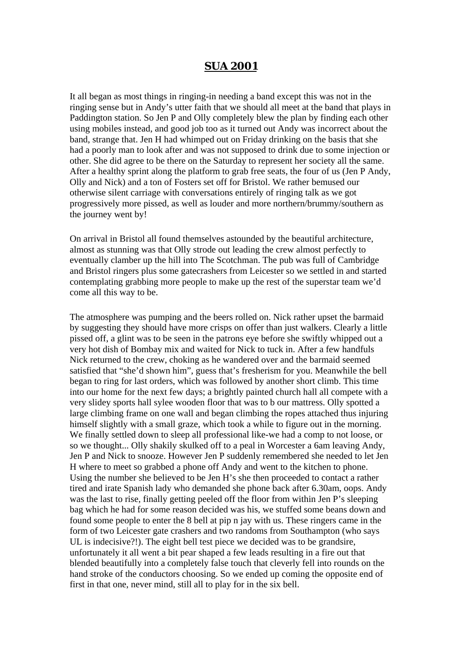# **SUA 2001**

It all began as most things in ringing-in needing a band except this was not in the ringing sense but in Andy's utter faith that we should all meet at the band that plays in Paddington station. So Jen P and Olly completely blew the plan by finding each other using mobiles instead, and good job too as it turned out Andy was incorrect about the band, strange that. Jen H had whimped out on Friday drinking on the basis that she had a poorly man to look after and was not supposed to drink due to some injection or other. She did agree to be there on the Saturday to represent her society all the same. After a healthy sprint along the platform to grab free seats, the four of us (Jen P Andy, Olly and Nick) and a ton of Fosters set off for Bristol. We rather bemused our otherwise silent carriage with conversations entirely of ringing talk as we got progressively more pissed, as well as louder and more northern/brummy/southern as the journey went by!

On arrival in Bristol all found themselves astounded by the beautiful architecture, almost as stunning was that Olly strode out leading the crew almost perfectly to eventually clamber up the hill into The Scotchman. The pub was full of Cambridge and Bristol ringers plus some gatecrashers from Leicester so we settled in and started contemplating grabbing more people to make up the rest of the superstar team we'd come all this way to be.

The atmosphere was pumping and the beers rolled on. Nick rather upset the barmaid by suggesting they should have more crisps on offer than just walkers. Clearly a little pissed off, a glint was to be seen in the patrons eye before she swiftly whipped out a very hot dish of Bombay mix and waited for Nick to tuck in. After a few handfuls Nick returned to the crew, choking as he wandered over and the barmaid seemed satisfied that "she'd shown him", guess that's fresherism for you. Meanwhile the bell began to ring for last orders, which was followed by another short climb. This time into our home for the next few days; a brightly painted church hall all compete with a very slidey sports hall sylee wooden floor that was to b our mattress. Olly spotted a large climbing frame on one wall and began climbing the ropes attached thus injuring himself slightly with a small graze, which took a while to figure out in the morning. We finally settled down to sleep all professional like-we had a comp to not loose, or so we thought... Olly shakily skulked off to a peal in Worcester a 6am leaving Andy, Jen P and Nick to snooze. However Jen P suddenly remembered she needed to let Jen H where to meet so grabbed a phone off Andy and went to the kitchen to phone. Using the number she believed to be Jen H's she then proceeded to contact a rather tired and irate Spanish lady who demanded she phone back after 6.30am, oops. Andy was the last to rise, finally getting peeled off the floor from within Jen P's sleeping bag which he had for some reason decided was his, we stuffed some beans down and found some people to enter the 8 bell at pip n jay with us. These ringers came in the form of two Leicester gate crashers and two randoms from Southampton (who says UL is indecisive?!). The eight bell test piece we decided was to be grandsire, unfortunately it all went a bit pear shaped a few leads resulting in a fire out that blended beautifully into a completely false touch that cleverly fell into rounds on the hand stroke of the conductors choosing. So we ended up coming the opposite end of first in that one, never mind, still all to play for in the six bell.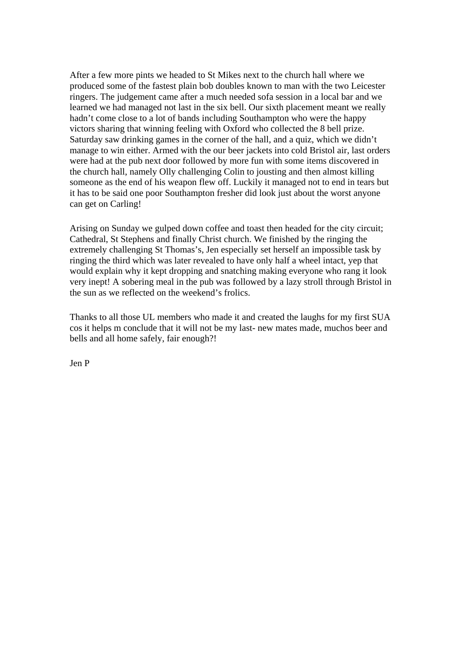After a few more pints we headed to St Mikes next to the church hall where we produced some of the fastest plain bob doubles known to man with the two Leicester ringers. The judgement came after a much needed sofa session in a local bar and we learned we had managed not last in the six bell. Our sixth placement meant we really hadn't come close to a lot of bands including Southampton who were the happy victors sharing that winning feeling with Oxford who collected the 8 bell prize. Saturday saw drinking games in the corner of the hall, and a quiz, which we didn't manage to win either. Armed with the our beer jackets into cold Bristol air, last orders were had at the pub next door followed by more fun with some items discovered in the church hall, namely Olly challenging Colin to jousting and then almost killing someone as the end of his weapon flew off. Luckily it managed not to end in tears but it has to be said one poor Southampton fresher did look just about the worst anyone can get on Carling!

Arising on Sunday we gulped down coffee and toast then headed for the city circuit; Cathedral, St Stephens and finally Christ church. We finished by the ringing the extremely challenging St Thomas's, Jen especially set herself an impossible task by ringing the third which was later revealed to have only half a wheel intact, yep that would explain why it kept dropping and snatching making everyone who rang it look very inept! A sobering meal in the pub was followed by a lazy stroll through Bristol in the sun as we reflected on the weekend's frolics.

Thanks to all those UL members who made it and created the laughs for my first SUA cos it helps m conclude that it will not be my last- new mates made, muchos beer and bells and all home safely, fair enough?!

Jen P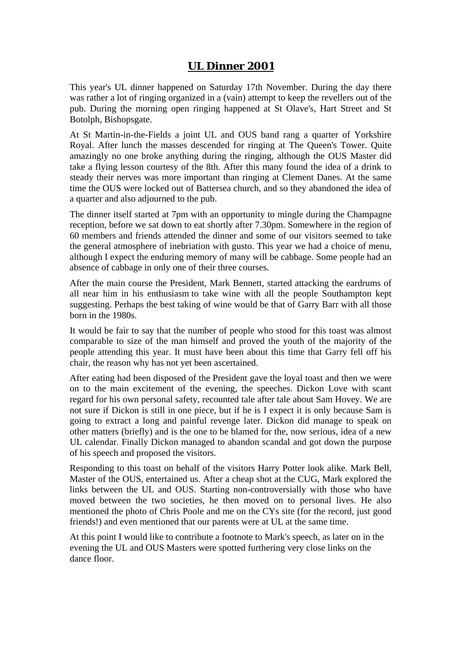# **UL Dinner 2001**

This year's UL dinner happened on Saturday 17th November. During the day there was rather a lot of ringing organized in a (vain) attempt to keep the revellers out of the pub. During the morning open ringing happened at St Olave's, Hart Street and St Botolph, Bishopsgate.

At St Martin-in-the-Fields a joint UL and OUS band rang a quarter of Yorkshire Royal. After lunch the masses descended for ringing at The Queen's Tower. Quite amazingly no one broke anything during the ringing, although the OUS Master did take a flying lesson courtesy of the 8th. After this many found the idea of a drink to steady their nerves was more important than ringing at Clement Danes. At the same time the OUS were locked out of Battersea church, and so they abandoned the idea of a quarter and also adjourned to the pub.

The dinner itself started at 7pm with an opportunity to mingle during the Champagne reception, before we sat down to eat shortly after 7.30pm. Somewhere in the region of 60 members and friends attended the dinner and some of our visitors seemed to take the general atmosphere of inebriation with gusto. This year we had a choice of menu, although I expect the enduring memory of many will be cabbage. Some people had an absence of cabbage in only one of their three courses.

After the main course the President, Mark Bennett, started attacking the eardrums of all near him in his enthusiasm to take wine with all the people Southampton kept suggesting. Perhaps the best taking of wine would be that of Garry Barr with all those born in the 1980s.

It would be fair to say that the number of people who stood for this toast was almost comparable to size of the man himself and proved the youth of the majority of the people attending this year. It must have been about this time that Garry fell off his chair, the reason why has not yet been ascertained.

After eating had been disposed of the President gave the loyal toast and then we were on to the main excitement of the evening, the speeches. Dickon Love with scant regard for his own personal safety, recounted tale after tale about Sam Hovey. We are not sure if Dickon is still in one piece, but if he is I expect it is only because Sam is going to extract a long and painful revenge later. Dickon did manage to speak on other matters (briefly) and is the one to be blamed for the, now serious, idea of a new UL calendar. Finally Dickon managed to abandon scandal and got down the purpose of his speech and proposed the visitors.

Responding to this toast on behalf of the visitors Harry Potter look alike. Mark Bell, Master of the OUS, entertained us. After a cheap shot at the CUG, Mark explored the links between the UL and OUS. Starting non-controversially with those who have moved between the two societies, he then moved on to personal lives. He also mentioned the photo of Chris Poole and me on the CYs site (for the record, just good friends!) and even mentioned that our parents were at UL at the same time.

At this point I would like to contribute a footnote to Mark's speech, as later on in the evening the UL and OUS Masters were spotted furthering very close links on the dance floor.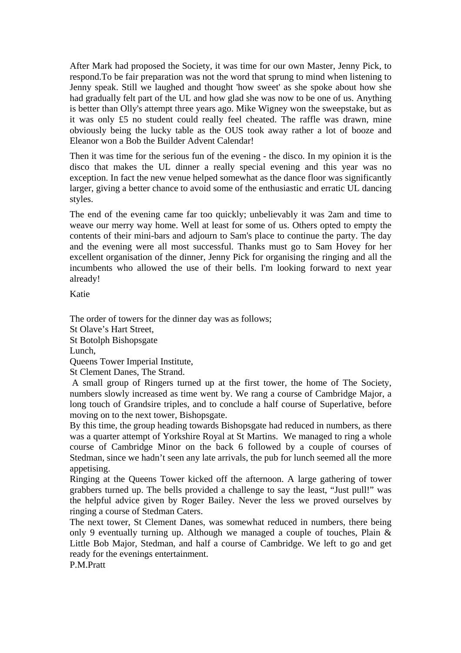After Mark had proposed the Society, it was time for our own Master, Jenny Pick, to respond.To be fair preparation was not the word that sprung to mind when listening to Jenny speak. Still we laughed and thought 'how sweet' as she spoke about how she had gradually felt part of the UL and how glad she was now to be one of us. Anything is better than Olly's attempt three years ago. Mike Wigney won the sweepstake, but as it was only £5 no student could really feel cheated. The raffle was drawn, mine obviously being the lucky table as the OUS took away rather a lot of booze and Eleanor won a Bob the Builder Advent Calendar!

Then it was time for the serious fun of the evening - the disco. In my opinion it is the disco that makes the UL dinner a really special evening and this year was no exception. In fact the new venue helped somewhat as the dance floor was significantly larger, giving a better chance to avoid some of the enthusiastic and erratic UL dancing styles.

The end of the evening came far too quickly; unbelievably it was 2am and time to weave our merry way home. Well at least for some of us. Others opted to empty the contents of their mini-bars and adjourn to Sam's place to continue the party. The day and the evening were all most successful. Thanks must go to Sam Hovey for her excellent organisation of the dinner, Jenny Pick for organising the ringing and all the incumbents who allowed the use of their bells. I'm looking forward to next year already!

Katie

The order of towers for the dinner day was as follows; St Olave's Hart Street, St Botolph Bishopsgate Lunch, Queens Tower Imperial Institute, St Clement Danes, The Strand.

 A small group of Ringers turned up at the first tower, the home of The Society, numbers slowly increased as time went by. We rang a course of Cambridge Major, a long touch of Grandsire triples, and to conclude a half course of Superlative, before moving on to the next tower, Bishopsgate.

By this time, the group heading towards Bishopsgate had reduced in numbers, as there was a quarter attempt of Yorkshire Royal at St Martins. We managed to ring a whole course of Cambridge Minor on the back 6 followed by a couple of courses of Stedman, since we hadn't seen any late arrivals, the pub for lunch seemed all the more appetising.

Ringing at the Queens Tower kicked off the afternoon. A large gathering of tower grabbers turned up. The bells provided a challenge to say the least, "Just pull!" was the helpful advice given by Roger Bailey. Never the less we proved ourselves by ringing a course of Stedman Caters.

The next tower, St Clement Danes, was somewhat reduced in numbers, there being only 9 eventually turning up. Although we managed a couple of touches, Plain & Little Bob Major, Stedman, and half a course of Cambridge. We left to go and get ready for the evenings entertainment.

P.M.Pratt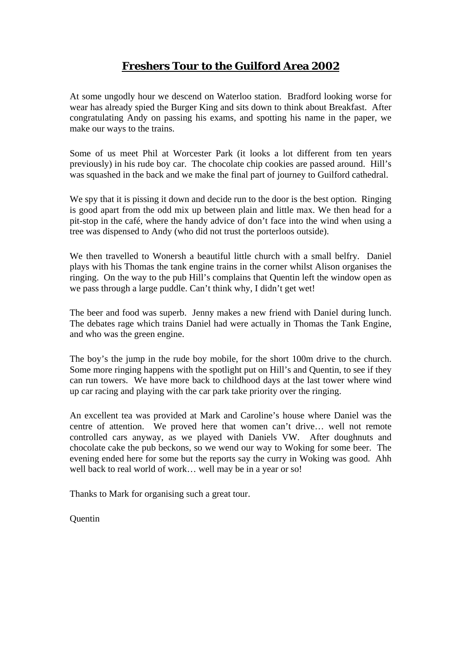# **Freshers Tour to the Guilford Area 2002**

At some ungodly hour we descend on Waterloo station. Bradford looking worse for wear has already spied the Burger King and sits down to think about Breakfast. After congratulating Andy on passing his exams, and spotting his name in the paper, we make our ways to the trains.

Some of us meet Phil at Worcester Park (it looks a lot different from ten years previously) in his rude boy car. The chocolate chip cookies are passed around. Hill's was squashed in the back and we make the final part of journey to Guilford cathedral.

We spy that it is pissing it down and decide run to the door is the best option. Ringing is good apart from the odd mix up between plain and little max. We then head for a pit-stop in the café, where the handy advice of don't face into the wind when using a tree was dispensed to Andy (who did not trust the porterloos outside).

We then travelled to Wonersh a beautiful little church with a small belfry. Daniel plays with his Thomas the tank engine trains in the corner whilst Alison organises the ringing. On the way to the pub Hill's complains that Quentin left the window open as we pass through a large puddle. Can't think why, I didn't get wet!

The beer and food was superb. Jenny makes a new friend with Daniel during lunch. The debates rage which trains Daniel had were actually in Thomas the Tank Engine, and who was the green engine.

The boy's the jump in the rude boy mobile, for the short 100m drive to the church. Some more ringing happens with the spotlight put on Hill's and Quentin, to see if they can run towers. We have more back to childhood days at the last tower where wind up car racing and playing with the car park take priority over the ringing.

An excellent tea was provided at Mark and Caroline's house where Daniel was the centre of attention. We proved here that women can't drive… well not remote controlled cars anyway, as we played with Daniels VW. After doughnuts and chocolate cake the pub beckons, so we wend our way to Woking for some beer. The evening ended here for some but the reports say the curry in Woking was good. Ahh well back to real world of work… well may be in a year or so!

Thanks to Mark for organising such a great tour.

**Ouentin**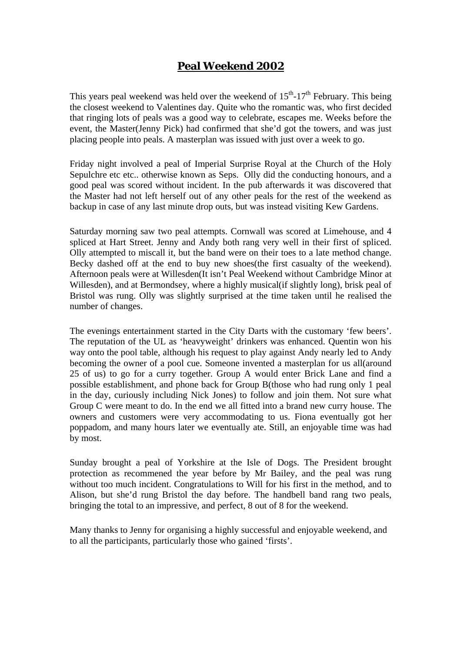# **Peal Weekend 2002**

This years peal weekend was held over the weekend of  $15<sup>th</sup>$ -17<sup>th</sup> February. This being the closest weekend to Valentines day. Quite who the romantic was, who first decided that ringing lots of peals was a good way to celebrate, escapes me. Weeks before the event, the Master(Jenny Pick) had confirmed that she'd got the towers, and was just placing people into peals. A masterplan was issued with just over a week to go.

Friday night involved a peal of Imperial Surprise Royal at the Church of the Holy Sepulchre etc etc.. otherwise known as Seps. Olly did the conducting honours, and a good peal was scored without incident. In the pub afterwards it was discovered that the Master had not left herself out of any other peals for the rest of the weekend as backup in case of any last minute drop outs, but was instead visiting Kew Gardens.

Saturday morning saw two peal attempts. Cornwall was scored at Limehouse, and 4 spliced at Hart Street. Jenny and Andy both rang very well in their first of spliced. Olly attempted to miscall it, but the band were on their toes to a late method change. Becky dashed off at the end to buy new shoes(the first casualty of the weekend). Afternoon peals were at Willesden(It isn't Peal Weekend without Cambridge Minor at Willesden), and at Bermondsey, where a highly musical (if slightly long), brisk peal of Bristol was rung. Olly was slightly surprised at the time taken until he realised the number of changes.

The evenings entertainment started in the City Darts with the customary 'few beers'. The reputation of the UL as 'heavyweight' drinkers was enhanced. Quentin won his way onto the pool table, although his request to play against Andy nearly led to Andy becoming the owner of a pool cue. Someone invented a masterplan for us all(around 25 of us) to go for a curry together. Group A would enter Brick Lane and find a possible establishment, and phone back for Group B(those who had rung only 1 peal in the day, curiously including Nick Jones) to follow and join them. Not sure what Group C were meant to do. In the end we all fitted into a brand new curry house. The owners and customers were very accommodating to us. Fiona eventually got her poppadom, and many hours later we eventually ate. Still, an enjoyable time was had by most.

Sunday brought a peal of Yorkshire at the Isle of Dogs. The President brought protection as recommened the year before by Mr Bailey, and the peal was rung without too much incident. Congratulations to Will for his first in the method, and to Alison, but she'd rung Bristol the day before. The handbell band rang two peals, bringing the total to an impressive, and perfect, 8 out of 8 for the weekend.

Many thanks to Jenny for organising a highly successful and enjoyable weekend, and to all the participants, particularly those who gained 'firsts'.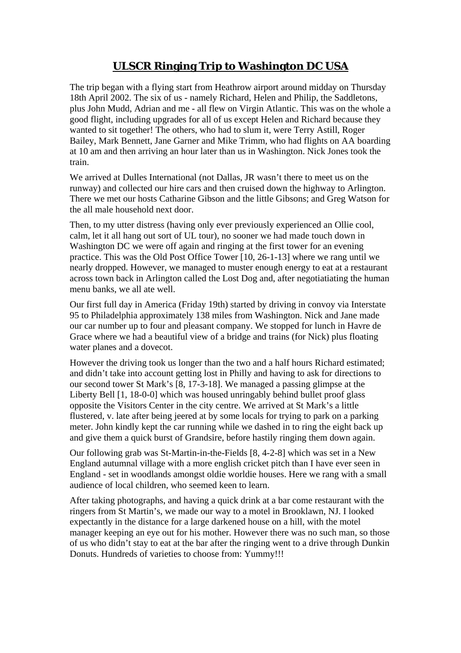# **ULSCR Ringing Trip to Washington DC USA**

The trip began with a flying start from Heathrow airport around midday on Thursday 18th April 2002. The six of us - namely Richard, Helen and Philip, the Saddletons, plus John Mudd, Adrian and me - all flew on Virgin Atlantic. This was on the whole a good flight, including upgrades for all of us except Helen and Richard because they wanted to sit together! The others, who had to slum it, were Terry Astill, Roger Bailey, Mark Bennett, Jane Garner and Mike Trimm, who had flights on AA boarding at 10 am and then arriving an hour later than us in Washington. Nick Jones took the train.

We arrived at Dulles International (not Dallas, JR wasn't there to meet us on the runway) and collected our hire cars and then cruised down the highway to Arlington. There we met our hosts Catharine Gibson and the little Gibsons; and Greg Watson for the all male household next door.

Then, to my utter distress (having only ever previously experienced an Ollie cool, calm, let it all hang out sort of UL tour), no sooner we had made touch down in Washington DC we were off again and ringing at the first tower for an evening practice. This was the Old Post Office Tower [10, 26-1-13] where we rang until we nearly dropped. However, we managed to muster enough energy to eat at a restaurant across town back in Arlington called the Lost Dog and, after negotiatiating the human menu banks, we all ate well.

Our first full day in America (Friday 19th) started by driving in convoy via Interstate 95 to Philadelphia approximately 138 miles from Washington. Nick and Jane made our car number up to four and pleasant company. We stopped for lunch in Havre de Grace where we had a beautiful view of a bridge and trains (for Nick) plus floating water planes and a dovecot.

However the driving took us longer than the two and a half hours Richard estimated; and didn't take into account getting lost in Philly and having to ask for directions to our second tower St Mark's [8, 17-3-18]. We managed a passing glimpse at the Liberty Bell [1, 18-0-0] which was housed unringably behind bullet proof glass opposite the Visitors Center in the city centre. We arrived at St Mark's a little flustered, v. late after being jeered at by some locals for trying to park on a parking meter. John kindly kept the car running while we dashed in to ring the eight back up and give them a quick burst of Grandsire, before hastily ringing them down again.

Our following grab was St-Martin-in-the-Fields [8, 4-2-8] which was set in a New England autumnal village with a more english cricket pitch than I have ever seen in England - set in woodlands amongst oldie worldie houses. Here we rang with a small audience of local children, who seemed keen to learn.

After taking photographs, and having a quick drink at a bar come restaurant with the ringers from St Martin's, we made our way to a motel in Brooklawn, NJ. I looked expectantly in the distance for a large darkened house on a hill, with the motel manager keeping an eye out for his mother. However there was no such man, so those of us who didn't stay to eat at the bar after the ringing went to a drive through Dunkin Donuts. Hundreds of varieties to choose from: Yummy!!!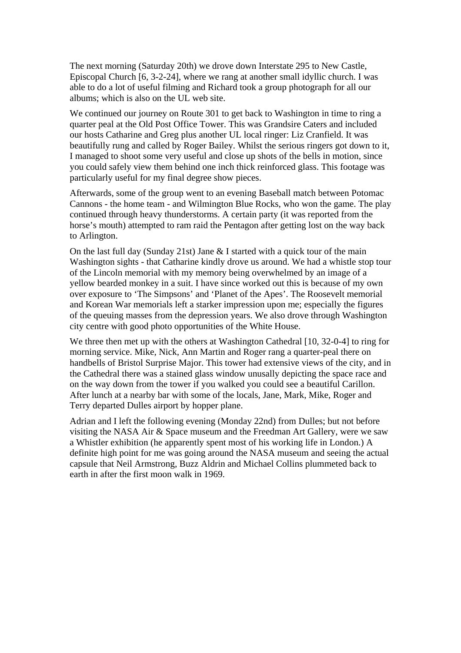The next morning (Saturday 20th) we drove down Interstate 295 to New Castle, Episcopal Church [6, 3-2-24], where we rang at another small idyllic church. I was able to do a lot of useful filming and Richard took a group photograph for all our albums; which is also on the UL web site.

We continued our journey on Route 301 to get back to Washington in time to ring a quarter peal at the Old Post Office Tower. This was Grandsire Caters and included our hosts Catharine and Greg plus another UL local ringer: Liz Cranfield. It was beautifully rung and called by Roger Bailey. Whilst the serious ringers got down to it, I managed to shoot some very useful and close up shots of the bells in motion, since you could safely view them behind one inch thick reinforced glass. This footage was particularly useful for my final degree show pieces.

Afterwards, some of the group went to an evening Baseball match between Potomac Cannons - the home team - and Wilmington Blue Rocks, who won the game. The play continued through heavy thunderstorms. A certain party (it was reported from the horse's mouth) attempted to ram raid the Pentagon after getting lost on the way back to Arlington.

On the last full day (Sunday 21st) Jane & I started with a quick tour of the main Washington sights - that Catharine kindly drove us around. We had a whistle stop tour of the Lincoln memorial with my memory being overwhelmed by an image of a yellow bearded monkey in a suit. I have since worked out this is because of my own over exposure to 'The Simpsons' and 'Planet of the Apes'. The Roosevelt memorial and Korean War memorials left a starker impression upon me; especially the figures of the queuing masses from the depression years. We also drove through Washington city centre with good photo opportunities of the White House.

We three then met up with the others at Washington Cathedral [10, 32-0-4] to ring for morning service. Mike, Nick, Ann Martin and Roger rang a quarter-peal there on handbells of Bristol Surprise Major. This tower had extensive views of the city, and in the Cathedral there was a stained glass window unusally depicting the space race and on the way down from the tower if you walked you could see a beautiful Carillon. After lunch at a nearby bar with some of the locals, Jane, Mark, Mike, Roger and Terry departed Dulles airport by hopper plane.

Adrian and I left the following evening (Monday 22nd) from Dulles; but not before visiting the NASA Air & Space museum and the Freedman Art Gallery, were we saw a Whistler exhibition (he apparently spent most of his working life in London.) A definite high point for me was going around the NASA museum and seeing the actual capsule that Neil Armstrong, Buzz Aldrin and Michael Collins plummeted back to earth in after the first moon walk in 1969.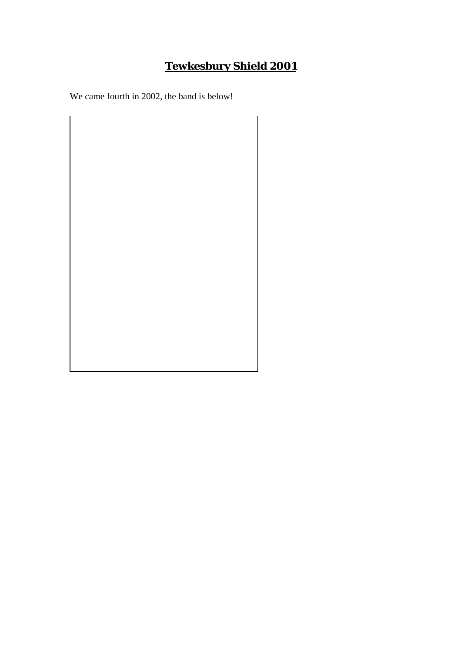# **Tewkesbury Shield 2001**

We came fourth in 2002, the band is below!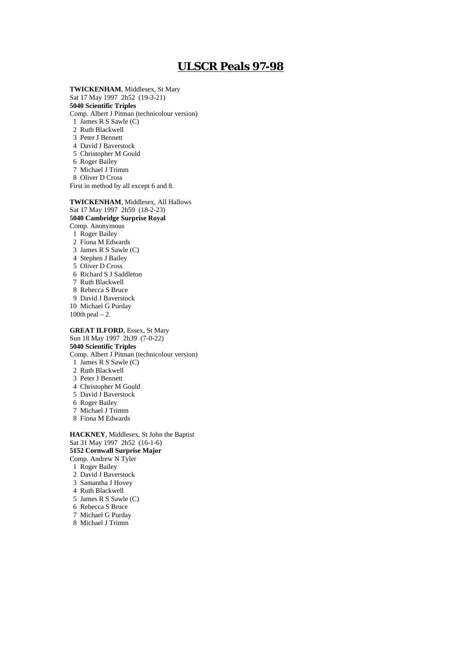# **ULSCR Peals 97-98**

**TWICKENHAM**, Middlesex, St Mary Sat 17 May 1997 2h52 (19-3-21) **5040 Scientific Triples** Comp. Albert J Pitman (technicolour version) 1 James R S Sawle (C) 2 Ruth Blackwell 3 Peter J Bennett 4 David J Baverstock 5 Christopher M Gould 6 Roger Bailey 7 Michael J Trimm 8 Oliver D Cross First in method by all except 6 and 8. **TWICKENHAM**, Middlesex, All Hallows Sat 17 May 1997 2h59 (18-2-23) **5040 Cambridge Surprise Royal** Comp. Anonymous 1 Roger Bailey

 3 James R S Sawle (C) 4 Stephen J Bailey 5 Oliver D Cross 6 Richard S J Saddleton 7 Ruth Blackwell 8 Rebecca S Bruce 9 David J Baverstock 10 Michael G Purday 100th peal – 2. **GREAT ILFORD**, Essex, St Mary Sun 18 May 1997 2h39 (7-0-22) **5040 Scientific Triples** Comp. Albert J Pitman (technicolour version) 1 James R S Sawle (C) 2 Ruth Blackwell

3 Peter J Bennett

2 Fiona M Edwards

- 4 Christopher M Gould
- 5 David J Baverstock
- 6 Roger Bailey
- 7 Michael J Trimm
- 8 Fiona M Edwards

**HACKNEY**, Middlesex, St John the Baptist Sat 31 May 1997 2h52 (16-1-6) **5152 Cornwall Surprise Major** Comp. Andrew N Tyler 1 Roger Bailey 2 David J Baverstock 3 Samantha J Hovey 4 Ruth Blackwell 5 James R S Sawle (C) 6 Rebecca S Bruce 7 Michael G Purday

8 Michael J Trimm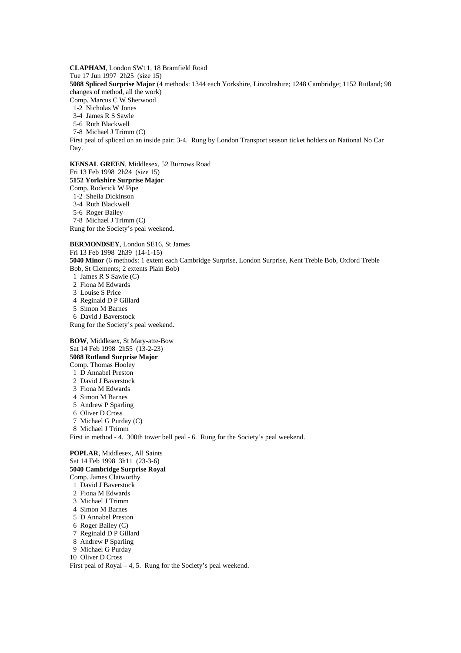**CLAPHAM**, London SW11, 18 Bramfield Road Tue 17 Jun 1997 2h25 (size 15) **5088 Spliced Surprise Major** (4 methods: 1344 each Yorkshire, Lincolnshire; 1248 Cambridge; 1152 Rutland; 98 changes of method, all the work) Comp. Marcus C W Sherwood

1-2 Nicholas W Jones

3-4 James R S Sawle

5-6 Ruth Blackwell

7-8 Michael J Trimm (C)

First peal of spliced on an inside pair: 3-4. Rung by London Transport season ticket holders on National No Car Day.

**KENSAL GREEN**, Middlesex, 52 Burrows Road Fri 13 Feb 1998 2h24 (size 15) **5152 Yorkshire Surprise Major** Comp. Roderick W Pipe 1-2 Sheila Dickinson 3-4 Ruth Blackwell 5-6 Roger Bailey 7-8 Michael J Trimm (C) Rung for the Society's peal weekend.

**BERMONDSEY**, London SE16, St James Fri 13 Feb 1998 2h39 (14-1-15) **5040 Minor** (6 methods: 1 extent each Cambridge Surprise, London Surprise, Kent Treble Bob, Oxford Treble Bob, St Clements; 2 extents Plain Bob) 1 James R S Sawle (C) 2 Fiona M Edwards 3 Louise S Price 4 Reginald D P Gillard 5 Simon M Barnes 6 David J Baverstock Rung for the Society's peal weekend. **BOW**, Middlesex, St Mary-atte-Bow Sat 14 Feb 1998 2h55 (13-2-23)

**5088 Rutland Surprise Major** Comp. Thomas Hooley 1 D Annabel Preston 2 David J Baverstock 3 Fiona M Edwards 4 Simon M Barnes 5 Andrew P Sparling 6 Oliver D Cross 7 Michael G Purday (C) 8 Michael J Trimm First in method - 4. 300th tower bell peal - 6. Rung for the Society's peal weekend. **POPLAR**, Middlesex, All Saints

Sat 14 Feb 1998 3h11 (23-3-6) **5040 Cambridge Surprise Royal** Comp. James Clatworthy 1 David J Baverstock 2 Fiona M Edwards 3 Michael J Trimm 4 Simon M Barnes 5 D Annabel Preston 6 Roger Bailey (C) 7 Reginald D P Gillard 8 Andrew P Sparling 9 Michael G Purday 10 Oliver D Cross First peal of Royal – 4, 5. Rung for the Society's peal weekend.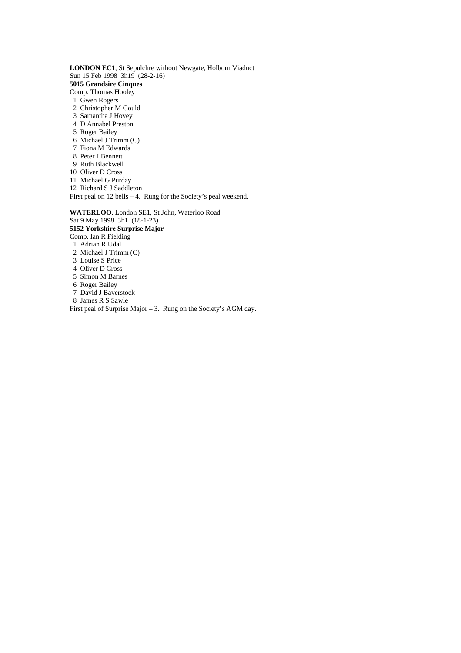**LONDON EC1**, St Sepulchre without Newgate, Holborn Viaduct Sun 15 Feb 1998 3h19 (28-2-16) **5015 Grandsire Cinques** Comp. Thomas Hooley 1 Gwen Rogers 2 Christopher M Gould 3 Samantha J Hovey 4 D Annabel Preston 5 Roger Bailey 6 Michael J Trimm (C) 7 Fiona M Edwards 8 Peter J Bennett 9 Ruth Blackwell 10 Oliver D Cross 11 Michael G Purday 12 Richard S J Saddleton First peal on 12 bells – 4. Rung for the Society's peal weekend. **WATERLOO**, London SE1, St John, Waterloo Road Sat 9 May 1998 3h1 (18-1-23) **5152 Yorkshire Surprise Major** Comp. Ian R Fielding 1 Adrian R Udal 2 Michael J Trimm (C) 3 Louise S Price 4 Oliver D Cross 5 Simon M Barnes 6 Roger Bailey

- 7 David J Baverstock
- 8 James R S Sawle
- First peal of Surprise Major 3. Rung on the Society's AGM day.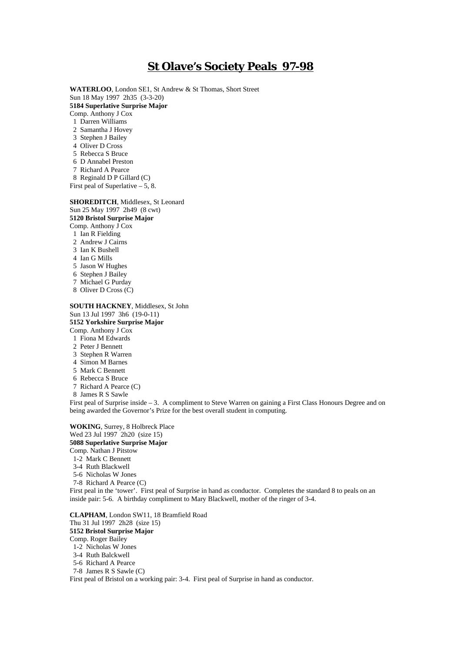# **St Olave's Society Peals 97-98**

**WATERLOO**, London SE1, St Andrew & St Thomas, Short Street Sun 18 May 1997 2h35 (3-3-20) **5184 Superlative Surprise Major** Comp. Anthony J Cox 1 Darren Williams 2 Samantha J Hovey 3 Stephen J Bailey 4 Oliver D Cross 5 Rebecca S Bruce 6 D Annabel Preston 7 Richard A Pearce 8 Reginald D P Gillard (C) First peal of Superlative – 5, 8.

### **SHOREDITCH**, Middlesex, St Leonard

Sun 25 May 1997 2h49 (8 cwt)

**5120 Bristol Surprise Major**

Comp. Anthony J Cox 1 Ian R Fielding

- 2 Andrew J Cairns
- 3 Ian K Bushell
- 4 Ian G Mills
- 5 Jason W Hughes
- 6 Stephen J Bailey
- 7 Michael G Purday
- 8 Oliver D Cross (C)

#### **SOUTH HACKNEY**, Middlesex, St John Sun 13 Jul 1997 3h6 (19-0-11) **5152 Yorkshire Surprise Major**

Comp. Anthony J Cox

- 1 Fiona M Edwards
- 2 Peter J Bennett
- 3 Stephen R Warren
- 4 Simon M Barnes
- 5 Mark C Bennett
- 6 Rebecca S Bruce
- 7 Richard A Pearce (C)

8 James R S Sawle

First peal of Surprise inside – 3. A compliment to Steve Warren on gaining a First Class Honours Degree and on being awarded the Governor's Prize for the best overall student in computing.

**WOKING**, Surrey, 8 Holbreck Place Wed 23 Jul 1997 2h20 (size 15) **5088 Superlative Surprise Major** Comp. Nathan J Pitstow

1-2 Mark C Bennett

- 3-4 Ruth Blackwell
- 5-6 Nicholas W Jones
- 7-8 Richard A Pearce (C)

First peal in the 'tower'. First peal of Surprise in hand as conductor. Completes the standard 8 to peals on an inside pair: 5-6. A birthday compliment to Mary Blackwell, mother of the ringer of 3-4.

#### **CLAPHAM**, London SW11, 18 Bramfield Road

Thu 31 Jul 1997 2h28 (size 15)

**5152 Bristol Surprise Major**

- Comp. Roger Bailey
- 1-2 Nicholas W Jones
- 3-4 Ruth Balckwell
- 5-6 Richard A Pearce
- 7-8 James R S Sawle (C)

First peal of Bristol on a working pair: 3-4. First peal of Surprise in hand as conductor.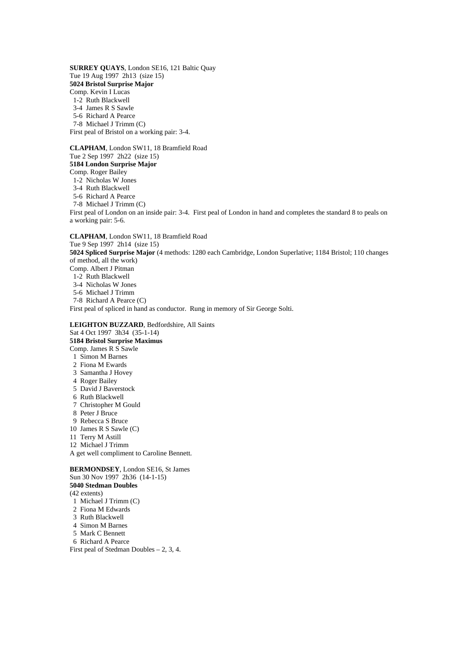**SURREY QUAYS**, London SE16, 121 Baltic Quay Tue 19 Aug 1997 2h13 (size 15) **5024 Bristol Surprise Major** Comp. Kevin I Lucas 1-2 Ruth Blackwell 3-4 James R S Sawle 5-6 Richard A Pearce 7-8 Michael J Trimm (C) First peal of Bristol on a working pair: 3-4.

**CLAPHAM**, London SW11, 18 Bramfield Road Tue 2 Sep 1997 2h22 (size 15) **5184 London Surprise Major** Comp. Roger Bailey 1-2 Nicholas W Jones 3-4 Ruth Blackwell 5-6 Richard A Pearce 7-8 Michael J Trimm (C) First peal of London on an inside pair: 3-4. First peal of London in hand and completes the standard 8 to peals on a working pair: 5-6. **CLAPHAM**, London SW11, 18 Bramfield Road Tue 9 Sep 1997 2h14 (size 15) **5024 Spliced Surprise Major** (4 methods: 1280 each Cambridge, London Superlative; 1184 Bristol; 110 changes

of method, all the work) Comp. Albert J Pitman 1-2 Ruth Blackwell 3-4 Nicholas W Jones 5-6 Michael J Trimm

 7-8 Richard A Pearce (C) First peal of spliced in hand as conductor. Rung in memory of Sir George Solti.

**LEIGHTON BUZZARD**, Bedfordshire, All Saints Sat 4 Oct 1997 3h34 (35-1-14) **5184 Bristol Surprise Maximus** Comp. James R S Sawle 1 Simon M Barnes 2 Fiona M Ewards 3 Samantha J Hovey 4 Roger Bailey 5 David J Baverstock 6 Ruth Blackwell 7 Christopher M Gould 8 Peter J Bruce 9 Rebecca S Bruce 10 James R S Sawle (C) 11 Terry M Astill 12 Michael J Trimm A get well compliment to Caroline Bennett. **BERMONDSEY**, London SE16, St James Sun 30 Nov 1997 2h36 (14-1-15) **5040 Stedman Doubles** (42 extents)

- 1 Michael J Trimm (C) 2 Fiona M Edwards 3 Ruth Blackwell
- 4 Simon M Barnes
- 5 Mark C Bennett
- 6 Richard A Pearce
- First peal of Stedman Doubles 2, 3, 4.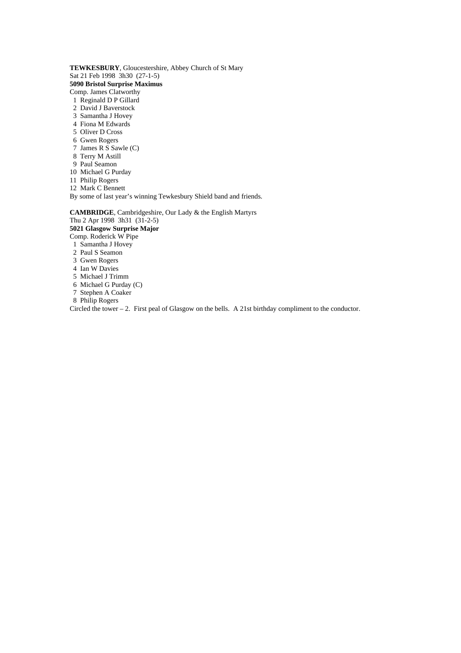**TEWKESBURY**, Gloucestershire, Abbey Church of St Mary Sat 21 Feb 1998 3h30 (27-1-5) **5090 Bristol Surprise Maximus** Comp. James Clatworthy 1 Reginald D P Gillard

- 2 David J Baverstock
- 3 Samantha J Hovey
- 4 Fiona M Edwards
- 5 Oliver D Cross
- 6 Gwen Rogers
- 7 James R S Sawle (C)
- 8 Terry M Astill
- 9 Paul Seamon
- 10 Michael G Purday
- 11 Philip Rogers
- 12 Mark C Bennett
- By some of last year's winning Tewkesbury Shield band and friends.

**CAMBRIDGE**, Cambridgeshire, Our Lady & the English Martyrs

Thu 2 Apr 1998 3h31 (31-2-5) **5021 Glasgow Surprise Major** Comp. Roderick W Pipe

- 1 Samantha J Hovey
- 2 Paul S Seamon
- 3 Gwen Rogers
- 4 Ian W Davies
- 5 Michael J Trimm
- 6 Michael G Purday (C)
- 7 Stephen A Coaker
- 8 Philip Rogers

Circled the tower – 2. First peal of Glasgow on the bells. A 21st birthday compliment to the conductor.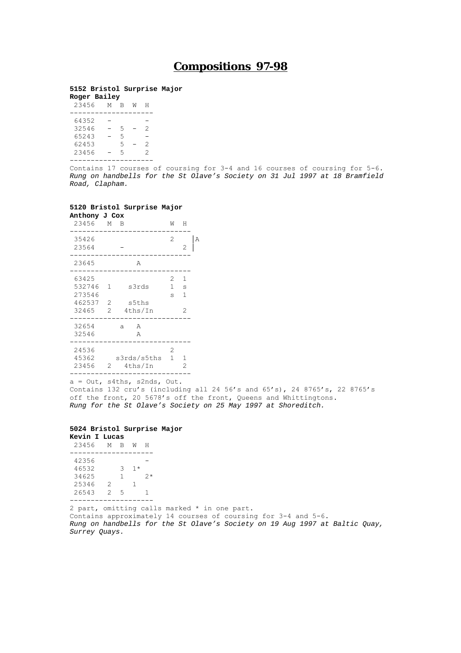# **Compositions 97-98**

## **5152 Bristol Surprise Major**

| Roger Bailey |   |   |   |   |
|--------------|---|---|---|---|
| 23456        | M | В | M | н |
|              |   |   |   |   |
| 64352        |   |   |   |   |
| 32546        |   | 5 |   | 2 |
| 65243        |   | 5 |   |   |
| 62453        |   | 5 |   | 2 |
| 23456        |   | 5 |   | 2 |
|              |   |   |   |   |

Contains 17 courses of coursing for 3-4 and 16 courses of coursing for 5-6. *Rung on handbells for the St Olave's Society on 31 Jul 1997 at 18 Bramfield Road, Clapham.*

## **5120 Bristol Surprise Major**

| Anthony J Cox                                |                                      |                           |                        |                  |   |
|----------------------------------------------|--------------------------------------|---------------------------|------------------------|------------------|---|
| 23456 M B                                    |                                      |                           | W                      | Н                |   |
| 35426<br>23564                               |                                      |                           | 2                      | 2                | А |
| 23645                                        |                                      | A                         |                        |                  |   |
| 63425<br>532746<br>273546<br>462537<br>32465 | 1<br>$\overline{\phantom{0}}^2$<br>2 | s3rds<br>s5ths<br>4ths/In | 2<br>1<br>$\mathbf{s}$ | 1<br>S<br>1<br>2 |   |
| 32654<br>32546                               |                                      | A<br>a<br>A               |                        |                  |   |
| 24536<br>45362<br>23456                      | 2                                    | s3rds/s5ths<br>4ths/In    | 2<br>1                 | 1<br>2           |   |

a = Out, s4ths, s2nds, Out.

Contains 132 cru's (including all 24 56's and 65's), 24 8765's, 22 8765's off the front, 20 5678's off the front, Queens and Whittingtons. *Rung for the St Olave's Society on 25 May 1997 at Shoreditch.*

#### **5024 Bristol Surprise Major**

| Kevin I Lucas |               |   |      |    |
|---------------|---------------|---|------|----|
| 23456         | M             | B | M    | н  |
|               |               |   |      |    |
| 42356         |               |   |      |    |
| 46532         |               | 3 | $1*$ |    |
| 34625         |               | 1 |      | クォ |
| 25346         | $\mathcal{D}$ |   | 1    |    |
| 26543         | $\mathcal{D}$ | 5 |      | 1  |
|               |               |   |      |    |

2 part, omitting calls marked \* in one part. Contains approximately 14 courses of coursing for 3-4 and 5-6. *Rung on handbells for the St Olave's Society on 19 Aug 1997 at Baltic Quay, Surrey Quays.*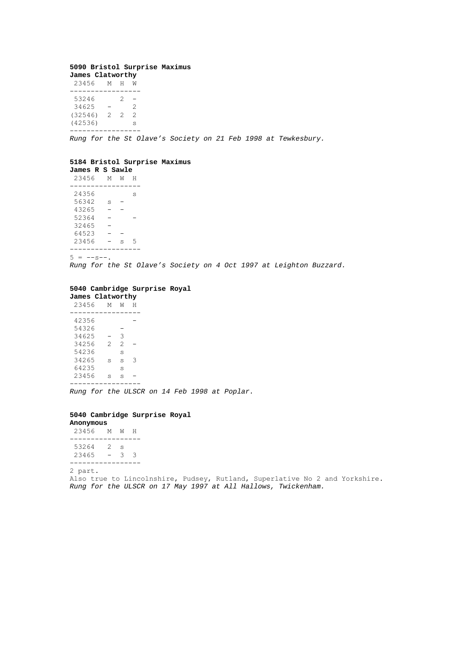## **5090 Bristol Surprise Maximus James Clatworthy**

| 23456                                | M             | н      | M           |  |
|--------------------------------------|---------------|--------|-------------|--|
| 53246<br>34625<br>(32546)<br>(42536) | $\mathcal{L}$ | 2<br>2 | 2<br>2<br>S |  |
|                                      |               |        |             |  |

*Rung for the St Olave's Society on 21 Feb 1998 at Tewkesbury.*

## **5184 Bristol Surprise Maximus**

**James R S Sawle**

 23456 M W H ----------------- 24356 s 56342 s - 43265 - - 52364 - -  $32465 -$ <br>64523 - -64523 23456 - s 5 -----------------

 $5 = -s-.$ 

*Rung for the St Olave's Society on 4 Oct 1997 at Leighton Buzzard.*

## **5040 Cambridge Surprise Royal**

**James Clatworthy** 23456 M W H ----------------- 42356 - 54326 - 34625 - 3 34256 2 2 - 54236 s 34265 s s 3 64235 s 23456 s s - -----------------

*Rung for the ULSCR on 14 Feb 1998 at Poplar.*

#### **5040 Cambridge Surprise Royal**

| Anonymous |   |   |   |
|-----------|---|---|---|
| 23456     | M | M | н |
|           |   |   |   |
| 53264     | 2 | S |   |
| 23465     |   | ٦ | 2 |

----------------- 2 part. Also true to Lincolnshire, Pudsey, Rutland, Superlative No 2 and Yorkshire. *Rung for the ULSCR on 17 May 1997 at All Hallows, Twickenham.*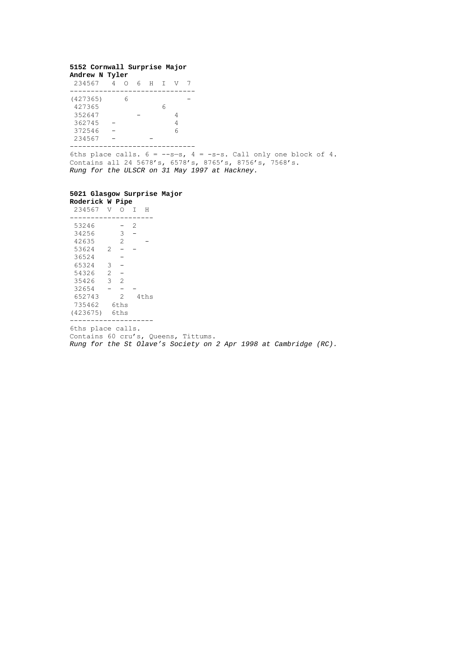#### **5152 Cornwall Surprise Major Andrew N Tyler**

| 234567             | ∩ | 6 н т |   | N. |  |
|--------------------|---|-------|---|----|--|
| (427365)<br>427365 | ี |       | h |    |  |
| 352647             |   |       |   |    |  |
| 362745             |   |       |   |    |  |
| 372546             |   |       |   | ี  |  |
| 234567             |   |       |   |    |  |

------------------------------

6ths place calls.  $6 = -s-s$ ,  $4 = -s-s$ . Call only one block of 4. Contains all 24 5678's, 6578's, 8765's, 8756's, 7568's. *Rung for the ULSCR on 31 May 1997 at Hackney.*

### **5021 Glasgow Surprise Major**

| Roderick W Pipe |                |                |   |      |
|-----------------|----------------|----------------|---|------|
| 234567          | V              | Ω              | T | н    |
|                 |                |                |   |      |
| 53246           |                |                | 2 |      |
| 34256           |                | 3              |   |      |
| 42635           |                | $\overline{2}$ |   |      |
| 53624           | 2              |                |   |      |
| 36524           |                |                |   |      |
| 65324           | 3              |                |   |      |
| 54326           | $\overline{2}$ |                |   |      |
| 35426           | 3              | $\overline{2}$ |   |      |
| 32654           |                |                |   |      |
| 652743          |                | 2              |   | 4ths |
| 735462          |                | 6ths           |   |      |
| (423675)        |                | 6ths           |   |      |

--------------------

6ths place calls.

Contains 60 cru's, Queens, Tittums.

*Rung for the St Olave's Society on 2 Apr 1998 at Cambridge (RC).*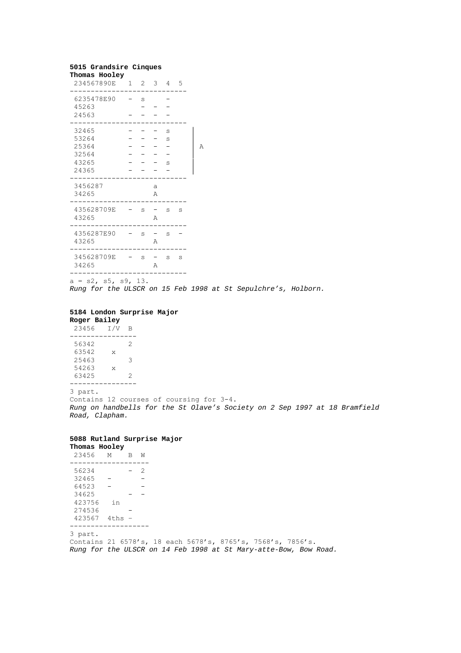## **5015 Grandsire Cinques**

| Thomas Hooley<br>234567890E 1 2 3 4 5 |   |   |     |   |
|---------------------------------------|---|---|-----|---|
| 6235478E90<br>45263                   | S |   |     |   |
| 24563                                 |   |   |     |   |
| 32465<br>53264                        |   |   | S   |   |
| 25364                                 |   |   | S   | Α |
| 32564                                 |   |   |     |   |
| 43265                                 |   |   | S   |   |
| 24365                                 |   |   |     |   |
| 3456287                               |   | a |     |   |
| 34265                                 |   | Α |     |   |
| 435628709E<br>43265                   | S | Α | S S |   |
| 4356287E90<br>43265                   | S | A | S   |   |
| 345628709E<br>34265                   | S | Α | S S |   |
|                                       |   |   |     |   |

 $a = s2$ ,  $s5$ ,  $s9$ , 13.

*Rung for the ULSCR on 15 Feb 1998 at St Sepulchre's, Holborn.*

## **5184 London Surprise Major**

**Roger Bailey** 23456 I/V B ---------------- 56342 2 63542 x 25463 3

 63425 2 ----------------

54263 x

3 part.

Contains 12 courses of coursing for 3-4. *Rung on handbells for the St Olave's Society on 2 Sep 1997 at 18 Bramfield Road, Clapham.*

### **5088 Rutland Surprise Major**

| Thomas Hooley |      |   |   |  |
|---------------|------|---|---|--|
| 23456         | M    | R | M |  |
|               |      |   |   |  |
| 56234         |      |   | 2 |  |
| 32465         |      |   |   |  |
| 64523         |      |   |   |  |
| 34625         |      |   |   |  |
| 423756        | in   |   |   |  |
| 274536        |      |   |   |  |
| 423567        | 4ths |   |   |  |
|               |      |   |   |  |

3 part. Contains 21 6578's, 18 each 5678's, 8765's, 7568's, 7856's. *Rung for the ULSCR on 14 Feb 1998 at St Mary-atte-Bow, Bow Road.*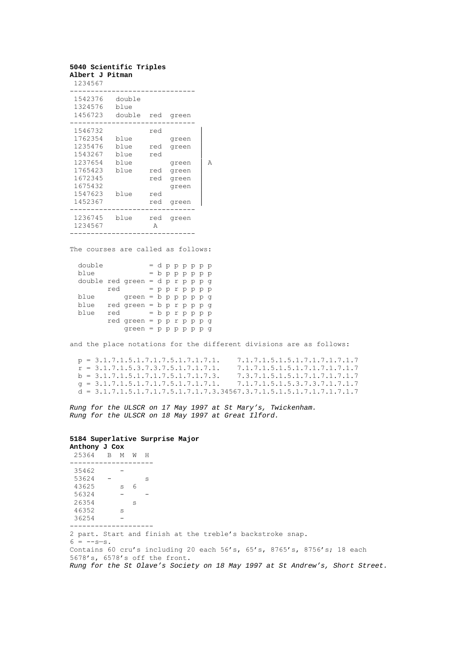| Albert J Pitman               | 5040 Scientific Triples      |          |       |   |
|-------------------------------|------------------------------|----------|-------|---|
| 1234567                       |                              |          |       |   |
| 1542376<br>1324576<br>1456723 | double<br>blue<br>double red |          | green |   |
| 1546732                       |                              | red      |       |   |
| 1762354                       | blue                         |          | green |   |
| 1235476                       | blue                         | red      | green |   |
| 1543267                       | blue                         | red      |       |   |
| 1237654                       | blue                         |          | green | A |
| 1765423                       | blue                         | red      | green |   |
| 1672345                       |                              | red      | green |   |
| 1675432                       |                              |          | green |   |
| 1547623                       | blue                         | red      |       |   |
| 1452367                       |                              | red      | green |   |
| 1236745<br>1234567            | blue                         | red<br>Α | green |   |
|                               |                              |          |       |   |

The courses are called as follows:

| double                           |     |                                    |  |  | = dрррррр         |  |  |
|----------------------------------|-----|------------------------------------|--|--|-------------------|--|--|
| blue                             |     |                                    |  |  | $=$ b p p p p p p |  |  |
| double red green = $d$ p r p p g |     |                                    |  |  |                   |  |  |
|                                  | red |                                    |  |  |                   |  |  |
| blue                             |     | $green = b$ p p p p g              |  |  |                   |  |  |
| blue                             |     | $red$ green = $b$ p $r$ p p p g    |  |  |                   |  |  |
| blue                             | red |                                    |  |  | = b p r p p p p   |  |  |
|                                  |     | $red$ green = $pp$ $p$ $p$ $p$ $q$ |  |  |                   |  |  |
|                                  |     | $green = p p p p p p q$            |  |  |                   |  |  |
|                                  |     |                                    |  |  |                   |  |  |

and the place notations for the different divisions are as follows:

| $p = 3.1.7.1.5.1.7.1.7.5.1.7.1.7.1.$                                  | 7.1.7.1.5.1.5.1.7.1.7.1.7.1.7 |
|-----------------------------------------------------------------------|-------------------------------|
| $r = 3.1.7.1.5.3.7.3.7.5.1.7.1.7.1.$                                  | 7.1.7.1.5.1.5.1.7.1.7.1.7.1.7 |
| $b = 3.1.7.1.5.1.7.1.7.5.1.7.1.7.3.$                                  | 7.3.7.1.5.1.5.1.7.1.7.1.7.1.7 |
| $q = 3.1.7.1.5.1.7.1.7.5.1.7.1.7.1.$ $7.1.7.1.5.1.5.3.7.3.7.1.7.1.7$  |                               |
| $d = 3.1.7.1.5.1.7.1.7.5.1.7.1.7.3.34567.3.7.1.5.1.5.1.7.1.7.1.7.1.7$ |                               |

*Rung for the ULSCR on 17 May 1997 at St Mary's, Twickenham. Rung for the ULSCR on 18 May 1997 at Great Ilford.*

# **5184 Superlative Surprise Major**

| Anthony J Cox |    |   |   |   |  |
|---------------|----|---|---|---|--|
| 25364         | B. | M | w | Н |  |
|               |    |   |   |   |  |
| 35462         |    |   |   |   |  |
| 53624         |    |   |   | S |  |
| 43625         |    | S | 6 |   |  |
| 56324         |    |   |   |   |  |
| 26354         |    |   | S |   |  |
| 46352         |    | S |   |   |  |
| 36254         |    |   |   |   |  |
|               |    |   |   |   |  |

2 part. Start and finish at the treble's backstroke snap.  $6 = -s-s$ . Contains 60 cru's including 20 each 56's, 65's, 8765's, 8756's; 18 each 5678's, 6578's off the front. *Rung for the St Olave's Society on 18 May 1997 at St Andrew's, Short Street.*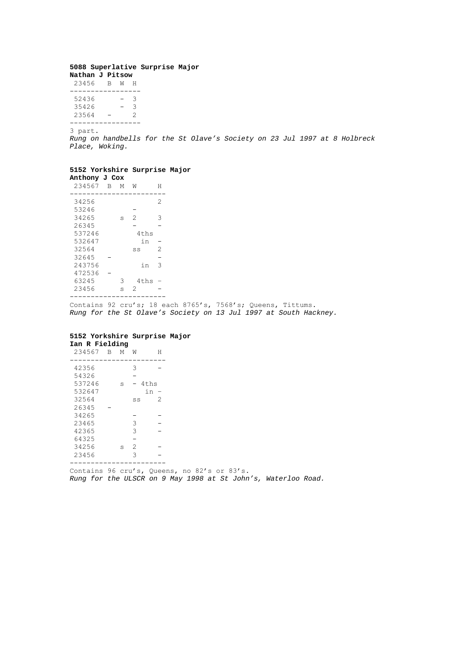#### **5088 Superlative Surprise Major Nathan J Pitsow**

| 23456 | R | M | н |
|-------|---|---|---|
|       |   |   |   |
| 52436 |   |   | 3 |
| 35426 |   |   | 3 |
| 23564 |   |   | 2 |
|       |   |   |   |

----------------- 3 part.

*Rung on handbells for the St Olave's Society on 23 Jul 1997 at 8 Holbreck Place, Woking.*

#### **5152 Yorkshire Surprise Major Anthony J Cox**

| Alicholly |   |   |                |   |
|-----------|---|---|----------------|---|
| 234567    | B | М | W              | Н |
| 34256     |   |   |                | 2 |
| 53246     |   |   |                |   |
| 34265     |   | S | $\mathfrak{D}$ | 3 |
| 26345     |   |   |                |   |
| 537246    |   |   | 4ths           |   |
| 532647    |   |   | in             |   |
| 32564     |   |   | SS             | 2 |
| 32645     |   |   |                |   |
| 243756    |   |   | in             | 3 |
| 472536    |   |   |                |   |
| 63245     |   | 3 | 4ths           |   |
| 23456     |   | S | 2              |   |
|           |   |   |                |   |

Contains 92 cru's; 18 each 8765's, 7568's; Queens, Tittums. *Rung for the St Olave's Society on 13 Jul 1997 at South Hackney.*

#### **5152 Yorkshire Surprise Major Ian R Fielding**

| 234567 | в | М | W  | Н    |
|--------|---|---|----|------|
|        |   |   |    |      |
| 42356  |   |   | 3  |      |
| 54326  |   |   |    |      |
| 537246 |   | S |    | 4ths |
| 532647 |   |   |    | in   |
| 32564  |   |   | SS | 2    |
| 26345  |   |   |    |      |
| 34265  |   |   |    |      |
| 23465  |   |   | 3  |      |
| 42365  |   |   | 3  |      |
| 64325  |   |   |    |      |
| 34256  |   | S | 2  |      |
| 23456  |   |   | 3  |      |
|        |   |   |    |      |

-----------------------

Contains 96 cru's, Queens, no 82's or 83's. *Rung for the ULSCR on 9 May 1998 at St John's, Waterloo Road.*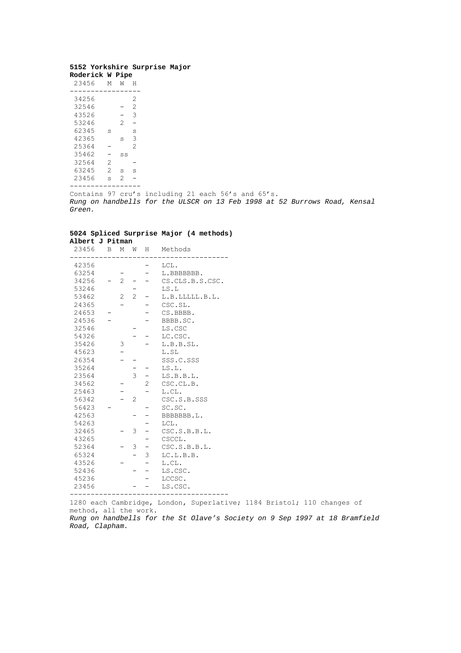## **5152 Yorkshire Surprise Major**

| Roderick W |                | Pipe |   |
|------------|----------------|------|---|
| 23456      | М              | W    | н |
|            |                |      |   |
| 34256      |                |      | 2 |
| 32546      |                |      | 2 |
| 43526      |                |      | 3 |
| 53246      |                | 2    |   |
| 62345      | S              |      | S |
| 42365      |                | S    | 3 |
| 25364      |                |      | 2 |
| 35462      |                | SS   |   |
| 32564      | 2              |      |   |
| 63245      | $\mathfrak{D}$ | S    | S |
| 23456      | S              | 2    |   |
|            |                |      |   |

Contains 97 cru's including 21 each 56's and 65's. *Rung on handbells for the ULSCR on 13 Feb 1998 at 52 Burrows Road, Kensal Green.*

## **5024 Spliced Surprise Major (4 methods) Albert J Pitman**

| 23456 | В | Μ              | W              | Н                         | Methods         |
|-------|---|----------------|----------------|---------------------------|-----------------|
| 42356 |   |                |                |                           | LCL.            |
| 63254 |   |                |                |                           | L.BBBBBBB.      |
| 34256 |   | $\overline{2}$ |                |                           | CS.CLS.B.S.CSC. |
| 53246 |   |                |                |                           | LS.L            |
| 53462 |   | 2              | $\overline{2}$ |                           | L.B.LLLLL.B.L.  |
| 24365 |   |                |                |                           | CSC.SL.         |
| 24653 |   |                |                |                           | CS.BBBB.        |
| 24536 |   |                |                |                           | BBBB.SC.        |
| 32546 |   |                |                |                           | LS.CSC          |
| 54326 |   |                |                |                           | LC.CSC.         |
| 35426 |   | 3              |                |                           | L.B.B.SL.       |
| 45623 |   |                |                |                           | L.SL            |
| 26354 |   |                |                |                           | SSS.C.SSS       |
| 35264 |   |                |                |                           | LS.L.           |
| 23564 |   |                | 3              |                           | LS.B.B.L.       |
| 34562 |   |                |                | $\mathbf{2}^{\mathsf{I}}$ | CSC.CL.B.       |
| 25463 |   |                |                |                           | L.CL.           |
| 56342 |   |                | 2              |                           | CSC.S.B.SSS     |
| 56423 |   |                |                |                           | SC.SC.          |
| 42563 |   |                |                |                           | BBBBBBB.L.      |
| 54263 |   |                |                |                           | LCL.            |
| 32465 |   |                | 3              |                           | CSC.S.B.B.L.    |
| 43265 |   |                |                |                           | CSCCL.          |
| 52364 |   |                | 3              |                           | CSC.S.B.B.L.    |
| 65324 |   |                |                | 3                         | LC.L.B.B.       |
| 43526 |   |                |                |                           | L.CL.           |
| 52436 |   |                |                | -                         | LS.CSC.         |
| 45236 |   |                |                |                           | LCCSC.          |
| 23456 |   |                |                |                           | LS.CSC.         |
|       |   |                |                |                           |                 |

1280 each Cambridge, London, Superlative; 1184 Bristol; 110 changes of method, all the work.

*Rung on handbells for the St Olave's Society on 9 Sep 1997 at 18 Bramfield Road, Clapham.*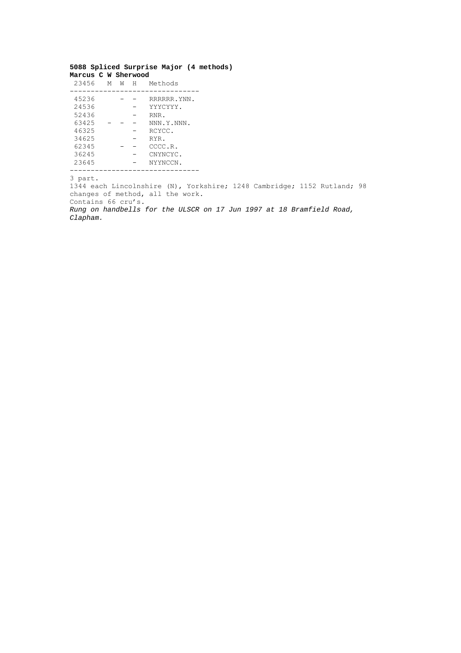## **5088 Spliced Surprise Major (4 methods) Marcus C W Sherwood**

| 23456 | М | W | Н | Methods      |
|-------|---|---|---|--------------|
|       |   |   |   |              |
| 45236 |   |   |   | RRRRRR. YNN. |
| 24536 |   |   |   | YYYCYYY.     |
| 52436 |   |   |   | RNR.         |
| 63425 |   |   |   | NNN.Y.NNN.   |
| 46325 |   |   |   | RCYCC.       |
| 34625 |   |   |   | RYR.         |
| 62345 |   |   |   | CCCC.R.      |
| 36245 |   |   |   | CNYNCYC.     |
| 23645 |   |   |   | NYYNCCN.     |
|       |   |   |   |              |

3 part.

1344 each Lincolnshire (N), Yorkshire; 1248 Cambridge; 1152 Rutland; 98 changes of method, all the work. Contains 66 cru's.

*Rung on handbells for the ULSCR on 17 Jun 1997 at 18 Bramfield Road, Clapham.*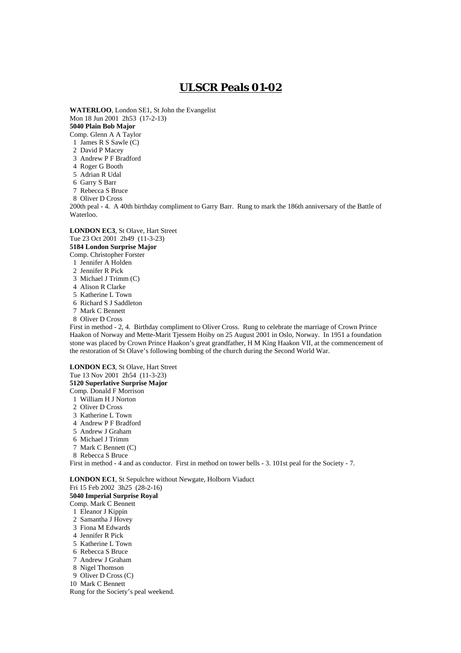# **ULSCR Peals 01-02**

**WATERLOO**, London SE1, St John the Evangelist Mon 18 Jun 2001 2h53 (17-2-13) **5040 Plain Bob Major** Comp. Glenn A A Taylor

1 James R S Sawle (C)

2 David P Macey

3 Andrew P F Bradford

4 Roger G Booth

5 Adrian R Udal

6 Garry S Barr

7 Rebecca S Bruce

8 Oliver D Cross

200th peal - 4. A 40th birthday compliment to Garry Barr. Rung to mark the 186th anniversary of the Battle of Waterloo.

**LONDON EC3**, St Olave, Hart Street Tue 23 Oct 2001 2h49 (11-3-23) **5184 London Surprise Major**

Comp. Christopher Forster

1 Jennifer A Holden

- 2 Jennifer R Pick
- 3 Michael J Trimm (C)
- 4 Alison R Clarke
- 5 Katherine L Town
- 6 Richard S J Saddleton
- 7 Mark C Bennett
- 8 Oliver D Cross

First in method - 2, 4. Birthday compliment to Oliver Cross. Rung to celebrate the marriage of Crown Prince Haakon of Norway and Mette-Marit Tjessem Hoiby on 25 August 2001 in Oslo, Norway. In 1951 a foundation stone was placed by Crown Prince Haakon's great grandfather, H M King Haakon VII, at the commencement of the restoration of St Olave's following bombing of the church during the Second World War.

**LONDON EC3**, St Olave, Hart Street Tue 13 Nov 2001 2h54 (11-3-23) **5120 Superlative Surprise Major** Comp. Donald F Morrison 1 William H J Norton 2 Oliver D Cross 3 Katherine L Town 4 Andrew P F Bradford 5 Andrew J Graham 6 Michael J Trimm 7 Mark C Bennett (C) 8 Rebecca S Bruce First in method - 4 and as conductor. First in method on tower bells - 3. 101st peal for the Society - 7. **LONDON EC1**, St Sepulchre without Newgate, Holborn Viaduct Fri 15 Feb 2002 3h25 (28-2-16) **5040 Imperial Surprise Royal** Comp. Mark C Bennett 1 Eleanor J Kippin 2 Samantha J Hovey 3 Fiona M Edwards 4 Jennifer R Pick

- 5 Katherine L Town
- 6 Rebecca S Bruce
- 7 Andrew J Graham

8 Nigel Thomson

9 Oliver D Cross (C)

10 Mark C Bennett

Rung for the Society's peal weekend.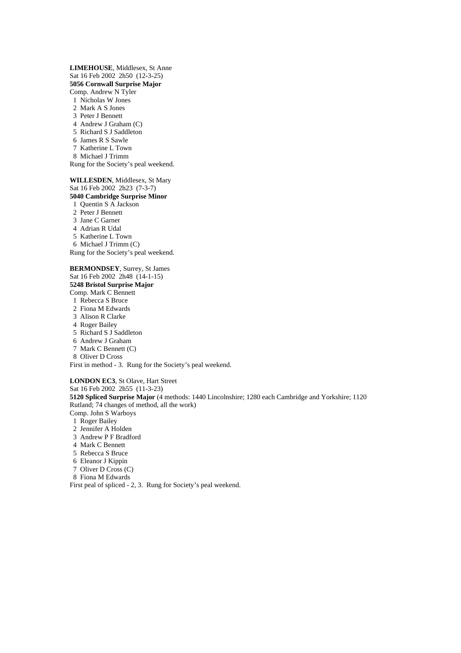**LIMEHOUSE**, Middlesex, St Anne Sat 16 Feb 2002 2h50 (12-3-25) **5056 Cornwall Surprise Major** Comp. Andrew N Tyler 1 Nicholas W Jones 2 Mark A S Jones 3 Peter J Bennett

- 
- 4 Andrew J Graham (C)
- 5 Richard S J Saddleton
- 6 James R S Sawle
- 7 Katherine L Town
- 8 Michael J Trimm

Rung for the Society's peal weekend.

**WILLESDEN**, Middlesex, St Mary Sat 16 Feb 2002 2h23 (7-3-7) **5040 Cambridge Surprise Minor**

- 1 Quentin S A Jackson
- 2 Peter J Bennett
- 3 Jane C Garner 4 Adrian R Udal
- 5 Katherine L Town
- 6 Michael J Trimm (C)
- Rung for the Society's peal weekend.

**BERMONDSEY**, Surrey, St James Sat 16 Feb 2002 2h48 (14-1-15) **5248 Bristol Surprise Major** Comp. Mark C Bennett 1 Rebecca S Bruce 2 Fiona M Edwards 3 Alison R Clarke 4 Roger Bailey 5 Richard S J Saddleton 6 Andrew J Graham 7 Mark C Bennett (C) 8 Oliver D Cross

First in method - 3. Rung for the Society's peal weekend.

**LONDON EC3**, St Olave, Hart Street Sat 16 Feb 2002 2h55 (11-3-23) **5120 Spliced Surprise Major** (4 methods: 1440 Lincolnshire; 1280 each Cambridge and Yorkshire; 1120 Rutland; 74 changes of method, all the work) Comp. John S Warboys

- 1 Roger Bailey
- 2 Jennifer A Holden
- 3 Andrew P F Bradford
- 4 Mark C Bennett
- 5 Rebecca S Bruce
- 6 Eleanor J Kippin
- 7 Oliver D Cross (C)
- 8 Fiona M Edwards

First peal of spliced - 2, 3. Rung for Society's peal weekend.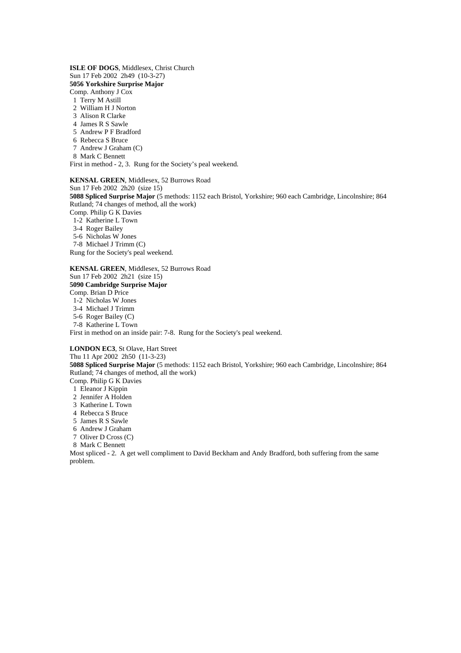**ISLE OF DOGS**, Middlesex, Christ Church Sun 17 Feb 2002 2h49 (10-3-27) **5056 Yorkshire Surprise Major** Comp. Anthony J Cox

1 Terry M Astill

- 2 William H J Norton
- 3 Alison R Clarke
- 4 James R S Sawle
- 5 Andrew P F Bradford
- 6 Rebecca S Bruce
- 7 Andrew J Graham (C)
- 8 Mark C Bennett

First in method - 2, 3. Rung for the Society's peal weekend.

#### **KENSAL GREEN**, Middlesex, 52 Burrows Road

Sun 17 Feb 2002 2h20 (size 15)

**5088 Spliced Surprise Major** (5 methods: 1152 each Bristol, Yorkshire; 960 each Cambridge, Lincolnshire; 864 Rutland; 74 changes of method, all the work)

Comp. Philip G K Davies

1-2 Katherine L Town

3-4 Roger Bailey

5-6 Nicholas W Jones

7-8 Michael J Trimm (C)

Rung for the Society's peal weekend.

**KENSAL GREEN**, Middlesex, 52 Burrows Road Sun 17 Feb 2002 2h21 (size 15) **5090 Cambridge Surprise Major** Comp. Brian D Price 1-2 Nicholas W Jones

3-4 Michael J Trimm

5-6 Roger Bailey (C)

7-8 Katherine L Town

First in method on an inside pair: 7-8. Rung for the Society's peal weekend.

**LONDON EC3**, St Olave, Hart Street

Thu 11 Apr 2002 2h50 (11-3-23) **5088 Spliced Surprise Major** (5 methods: 1152 each Bristol, Yorkshire; 960 each Cambridge, Lincolnshire; 864 Rutland; 74 changes of method, all the work) Comp. Philip G K Davies

1 Eleanor J Kippin

2 Jennifer A Holden

3 Katherine L Town

- 4 Rebecca S Bruce
- 5 James R S Sawle
- 6 Andrew J Graham
- 
- 7 Oliver D Cross (C)

8 Mark C Bennett

Most spliced - 2. A get well compliment to David Beckham and Andy Bradford, both suffering from the same problem.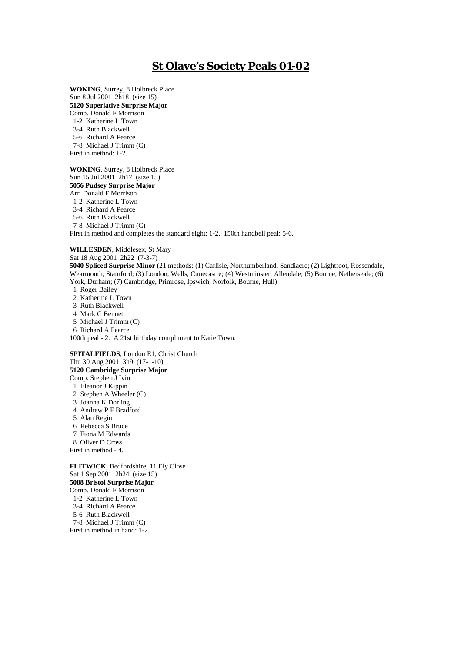# **St Olave's Society Peals 01-02**

**WOKING**, Surrey, 8 Holbreck Place Sun 8 Jul 2001 2h18 (size 15) **5120 Superlative Surprise Major** Comp. Donald F Morrison 1-2 Katherine L Town 3-4 Ruth Blackwell 5-6 Richard A Pearce

7-8 Michael J Trimm (C)

First in method: 1-2.

**WOKING**, Surrey, 8 Holbreck Place Sun 15 Jul 2001 2h17 (size 15) **5056 Pudsey Surprise Major** Arr. Donald F Morrison 1-2 Katherine L Town

3-4 Richard A Pearce

5-6 Ruth Blackwell

7-8 Michael J Trimm (C)

First in method and completes the standard eight: 1-2. 150th handbell peal: 5-6.

**WILLESDEN**, Middlesex, St Mary

Sat 18 Aug 2001 2h22 (7-3-7)

**5040 Spliced Surprise Minor** (21 methods: (1) Carlisle, Northumberland, Sandiacre; (2) Lightfoot, Rossendale, Wearmouth, Stamford; (3) London, Wells, Cunecastre; (4) Westminster, Allendale; (5) Bourne, Netherseale; (6) York, Durham; (7) Cambridge, Primrose, Ipswich, Norfolk, Bourne, Hull)

1 Roger Bailey

2 Katherine L Town

3 Ruth Blackwell

4 Mark C Bennett

5 Michael J Trimm (C)

6 Richard A Pearce

100th peal - 2. A 21st birthday compliment to Katie Town.

**SPITALFIELDS**, London E1, Christ Church Thu 30 Aug 2001 3h9 (17-1-10) **5120 Cambridge Surprise Major** Comp. Stephen J Ivin 1 Eleanor J Kippin 2 Stephen A Wheeler (C) 3 Joanna K Dorling 4 Andrew P F Bradford

5 Alan Regin

 6 Rebecca S Bruce 7 Fiona M Edwards

8 Oliver D Cross

First in method - 4.

**FLITWICK**, Bedfordshire, 11 Ely Close Sat 1 Sep 2001 2h24 (size 15) **5088 Bristol Surprise Major** Comp. Donald F Morrison 1-2 Katherine L Town 3-4 Richard A Pearce 5-6 Ruth Blackwell

 7-8 Michael J Trimm (C) First in method in hand: 1-2.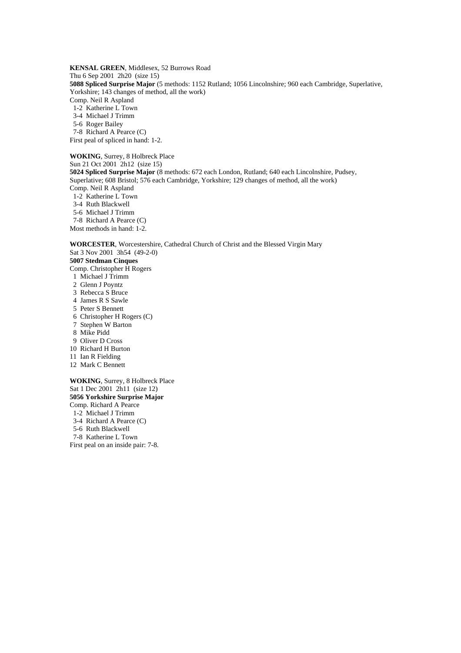**KENSAL GREEN**, Middlesex, 52 Burrows Road Thu 6 Sep 2001 2h20 (size 15) **5088 Spliced Surprise Major** (5 methods: 1152 Rutland; 1056 Lincolnshire; 960 each Cambridge, Superlative, Yorkshire; 143 changes of method, all the work) Comp. Neil R Aspland 1-2 Katherine L Town

3-4 Michael J Trimm

5-6 Roger Bailey

7-8 Richard A Pearce (C)

First peal of spliced in hand: 1-2.

**WOKING**, Surrey, 8 Holbreck Place Sun 21 Oct 2001 2h12 (size 15) **5024 Spliced Surprise Major** (8 methods: 672 each London, Rutland; 640 each Lincolnshire, Pudsey, Superlative; 608 Bristol; 576 each Cambridge, Yorkshire; 129 changes of method, all the work) Comp. Neil R Aspland 1-2 Katherine L Town 3-4 Ruth Blackwell

5-6 Michael J Trimm

7-8 Richard A Pearce (C)

Most methods in hand: 1-2.

**WORCESTER**, Worcestershire, Cathedral Church of Christ and the Blessed Virgin Mary Sat 3 Nov 2001 3h54 (49-2-0)

### **5007 Stedman Cinques**

Comp. Christopher H Rogers

1 Michael J Trimm

2 Glenn J Poyntz

- 3 Rebecca S Bruce
- 4 James R S Sawle
- 5 Peter S Bennett
- 6 Christopher H Rogers (C)
- 7 Stephen W Barton
- 8 Mike Pidd
- 9 Oliver D Cross
- 10 Richard H Burton
- 11 Ian R Fielding
- 12 Mark C Bennett

**WOKING**, Surrey, 8 Holbreck Place Sat 1 Dec 2001 2h11 (size 12) **5056 Yorkshire Surprise Major** Comp. Richard A Pearce 1-2 Michael J Trimm 3-4 Richard A Pearce (C) 5-6 Ruth Blackwell 7-8 Katherine L Town First peal on an inside pair: 7-8.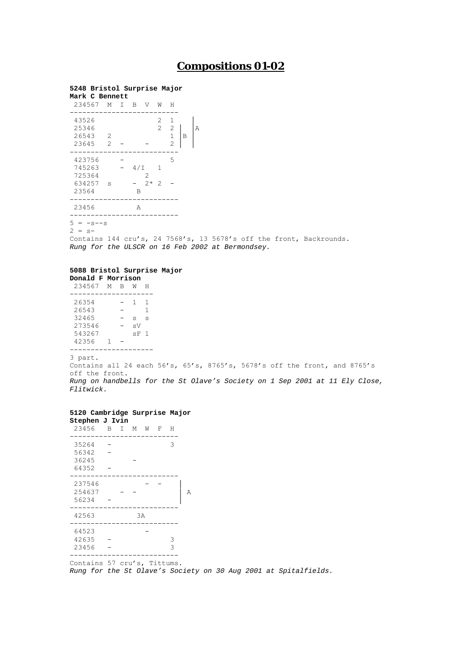# **Compositions 01-02**

### **5248 Bristol Surprise Major**

| Mark C Bennett                   |                      |     |      |                     |                                          |   |   |
|----------------------------------|----------------------|-----|------|---------------------|------------------------------------------|---|---|
| 234567 M I                       |                      | B   | V    | W                   | Н                                        |   |   |
| 43526<br>25346<br>26543<br>23645 | -2<br>$\overline{2}$ |     |      | 2<br>$\overline{2}$ | 1<br>-2<br>$\mathbf 1$<br>$\overline{2}$ | B | Α |
| 423756                           |                      |     |      |                     | 5                                        |   |   |
| 745263                           |                      | 4/1 |      | 1                   |                                          |   |   |
| 725364                           |                      |     | 2    |                     |                                          |   |   |
| 634257                           | S                    |     | $2*$ | $\mathfrak{D}$      |                                          |   |   |
| 23564                            |                      | B   |      |                     |                                          |   |   |
| 23456                            |                      | A   |      |                     |                                          |   |   |
| 5<br>$-s$ -s                     |                      |     |      |                     |                                          |   |   |

 $2 = s-$ 

Contains 144 cru's, 24 7568's, 13 5678's off the front, Backrounds. *Rung for the ULSCR on 16 Feb 2002 at Bermondsey.*

## **5088 Bristol Surprise Major**

**Donald F Morrison** 234567 M B W H -------------------- 26354 - 1 1 26543 - 1  $32465 - s s$  273546 - sV 543267 sF 1 42356 1 -

--------------------

3 part.

Contains all 24 each 56's, 65's, 8765's, 5678's off the front, and 8765's off the front. *Rung on handbells for the St Olave's Society on 1 Sep 2001 at 11 Ely Close, Flitwick.*

## **5120 Cambridge Surprise Major**

| Stephen J Ivin                      |       |  |    |              |   |
|-------------------------------------|-------|--|----|--------------|---|
| 23456                               | B I M |  | W  | $\mathbb{F}$ | H |
| 35264                               |       |  |    |              | 3 |
| 56342                               |       |  |    |              |   |
| 36245                               |       |  |    |              |   |
| 64352                               |       |  |    |              |   |
| 237546                              |       |  |    |              |   |
| 254637                              |       |  |    |              |   |
| 56234                               |       |  |    |              |   |
|                                     |       |  |    |              |   |
| 42563                               |       |  | 3A |              |   |
| 64523                               |       |  |    |              |   |
| 42635                               |       |  |    |              | 3 |
| 23456                               |       |  |    |              | 3 |
| the contract of the contract of the | $ -$  |  |    |              |   |

Contains 57 cru's, Tittums.

*Rung for the St Olave's Society on 30 Aug 2001 at Spitalfields.*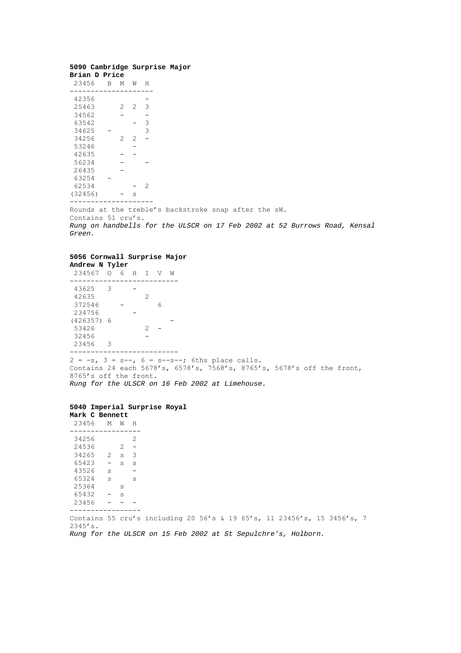## **5090 Cambridge Surprise Major**

| Brian D Price |   |   |                |   |
|---------------|---|---|----------------|---|
| 23456         | в | М | W              | Н |
| 42356         |   |   |                |   |
|               |   |   |                |   |
| 25463         |   | 2 | 2              | 3 |
| 34562         |   |   |                |   |
| 63542         |   |   |                | 3 |
| 34625         |   |   |                | 3 |
| 34256         |   | 2 | $\overline{c}$ |   |
| 53246         |   |   |                |   |
| 42635         |   |   |                |   |
| 56234         |   |   |                |   |
| 26435         |   |   |                |   |
| 63254         |   |   |                |   |
| 62534         |   |   |                | 2 |
| (32456)       |   |   | S              |   |
|               |   |   |                |   |

Rounds at the treble's backstroke snap after the sW. Contains 51 cru's. *Rung on handbells for the ULSCR on 17 Feb 2002 at 52 Burrows Road, Kensal Green.*

## **5056 Cornwall Surprise Major**

| Andrew N Tyler |            |   |       |   |   |   |
|----------------|------------|---|-------|---|---|---|
| 234567         | $\bigcirc$ | 6 | $H$ I |   | V | W |
|                |            |   |       |   |   |   |
| 43625          | 3          |   |       |   |   |   |
| 42635          |            |   |       | 2 |   |   |
| 372546         |            |   |       |   | 6 |   |
| 234756         |            |   |       |   |   |   |
| $(426357)$ 6   |            |   |       |   |   |   |
| 53426          |            |   |       | 2 |   |   |
| 32456          |            |   |       |   |   |   |
| 23456          | З          |   |       |   |   |   |
|                |            |   |       |   |   |   |
|                |            |   |       |   |   |   |

 $2 = -s$ ,  $3 = s--$ ,  $6 = s--s--$ ; 6ths place calls. Contains 24 each 5678's, 6578's, 7568's, 8765's, 5678's off the front, 8765's off the front. *Rung for the ULSCR on 16 Feb 2002 at Limehouse.*

### **5040 Imperial Surprise Royal Mark C Bennett**

| 23456       | M            | W       | H                        |                                                                         |  |  |  |  |  |
|-------------|--------------|---------|--------------------------|-------------------------------------------------------------------------|--|--|--|--|--|
| 34256       |              |         | 2                        |                                                                         |  |  |  |  |  |
| 24536       |              | $2 -$   |                          |                                                                         |  |  |  |  |  |
| 34265 2 s 3 |              |         |                          |                                                                         |  |  |  |  |  |
| 65423       |              | $-$ s s |                          |                                                                         |  |  |  |  |  |
| 43526       | $\mathbf{s}$ |         | $\overline{\phantom{m}}$ |                                                                         |  |  |  |  |  |
| 65324       | $\mathbf{s}$ |         | S                        |                                                                         |  |  |  |  |  |
| 25364       |              | S       |                          |                                                                         |  |  |  |  |  |
| 65432       | $-$ s        |         |                          |                                                                         |  |  |  |  |  |
| 23456       |              |         |                          |                                                                         |  |  |  |  |  |
|             |              |         |                          |                                                                         |  |  |  |  |  |
| 2345's.     |              |         |                          | Contains 55 cru's including 20 56's & 19 65's, 11 23456's, 15 3456's, 7 |  |  |  |  |  |

*Rung for the ULSCR on 15 Feb 2002 at St Sepulchre's, Holborn.*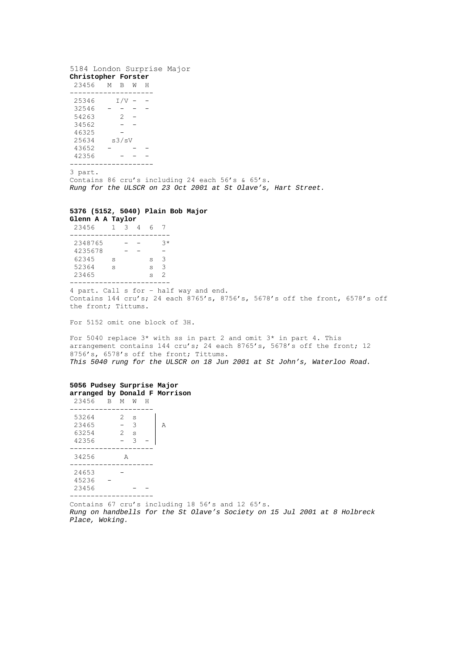## 5184 London Surprise Major

| Christopher Forster |   |       |   |   |  |
|---------------------|---|-------|---|---|--|
| 23456               | M | В     | W | н |  |
|                     |   |       |   |   |  |
| 25346               |   | I/V   |   |   |  |
| 32546               |   |       |   |   |  |
| 54263               |   | 2     |   |   |  |
| 34562               |   |       |   |   |  |
| 46325               |   |       |   |   |  |
| 25634               |   | s3/sV |   |   |  |
| 43652               |   |       |   |   |  |
| 42356               |   |       |   |   |  |
|                     |   |       |   |   |  |
|                     |   |       |   |   |  |

3 part.

Contains 86 cru's including 24 each 56's & 65's. *Rung for the ULSCR on 23 Oct 2001 at St Olave's, Hart Street.*

#### **5376 (5152, 5040) Plain Bob Major**

| Glenn A A Taylor |    |   |   |   |    |
|------------------|----|---|---|---|----|
| 23456            | 1. | 3 | 4 | 6 |    |
|                  |    |   |   |   |    |
| 2348765          |    |   |   |   | २∗ |
| 4235678          |    |   |   |   |    |
| 62345            | S  |   |   | S | 3  |
| 52364            | S  |   |   | S | 3  |
| 23465            |    |   |   | S | 2  |
|                  |    |   |   |   |    |

4 part. Call s for – half way and end. Contains 144 cru's; 24 each 8765's, 8756's, 5678's off the front, 6578's off the front; Tittums.

For 5152 omit one block of 3H.

For 5040 replace 3\* with ss in part 2 and omit 3\* in part 4. This arrangement contains 144 cru's; 24 each 8765's, 5678's off the front; 12 8756's, 6578's off the front; Tittums. *This 5040 rung for the ULSCR on 18 Jun 2001 at St John's, Waterloo Road.*

### **5056 Pudsey Surprise Major arranged by Donald F Morrison**

| 23456                            | R | М                  | W                | н |   |
|----------------------------------|---|--------------------|------------------|---|---|
| 53264<br>23465<br>63254<br>42356 |   | 2<br>$\mathcal{L}$ | S<br>3<br>S<br>3 |   | А |
| 34256                            |   | A                  |                  |   |   |
| 24653<br>45236<br>23456          |   |                    |                  |   |   |

Contains 67 cru's including 18 56's and 12 65's. *Rung on handbells for the St Olave's Society on 15 Jul 2001 at 8 Holbreck Place, Woking.*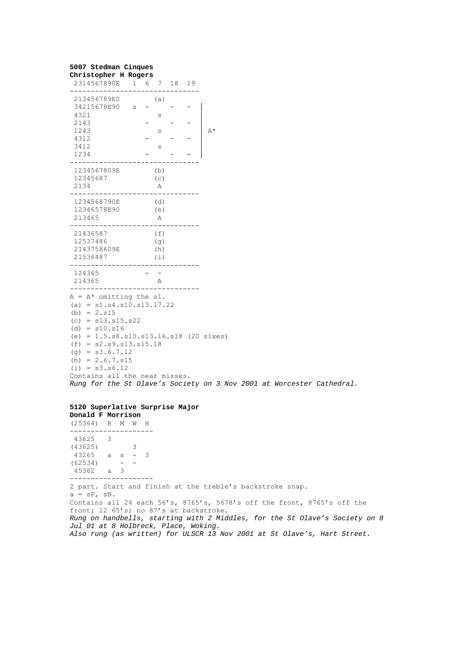## **5007 Stedman Cinques**

#### **Christopher H Rogers** 2314567890E 1 6 7 18 19 ------------------------------- 213456789E0 (a)  $34215678E90$  s - - - |  $4321$  s<br>2143 –  $2143$  - - - |<br>1243 s<br>4312 - - - |  $\mathbf{s}$  $4312$  - -<br>  $3412$  s  $3412$  s<br>  $1234$  =  $1234$  - -------------------------------- 1234567809E (b) 12345687 (c) 2134 A ------------------------------- 1234568790E (d) 12346578E90 (e) 213465 A ------------------------------- 21436587 (f) 12537486 (g) 2143758609E (h) 21536487 (i) ------------------------------- 124365 214365 A -------------------------------  $A = A^*$  omitting the s1.  $(a) = s1. s4. s10. s13.17.22$ (b) =  $2. s15$  $(c) = s13. s15. s22$  $(d) = s10. s16$ (e) = 1.5.s8.s10.s13.16.s18 (20 sixes)  $(f) = s2 \tcdot s9 \tcdot s13 \tcdot s15 \tcdot 18$  $(g) = s3.6.7.12$  $(h) = 2.6.7. s15$  $(i) = s3. s6.12$ Contains all the near misses. *Rung for the St Olave's Society on 3 Nov 2001 at Worcester Cathedral.*

#### **5120 Superlative Surprise Major Donald F Morrison**

(25364) B M W H -------------------- 43625 3 (43625) 3  $43265$  a s - 3  $(62534)$  - - 45362 a 3 -------------------- 2 part. Start and finish at the treble's backstroke snap.  $a = sF$ ,  $sB$ . Contains all 24 each 56's, 8765's, 5678's off the front, 8765's off the front; 12 65's; no 87's at backstroke. *Rung on handbells, starting with 2 Middles, for the St Olave's Society on 8 Jul 01 at 8 Holbreck, Place, Woking. Also rung (as written) for ULSCR 13 Nov 2001 at St Olave's, Hart Street.*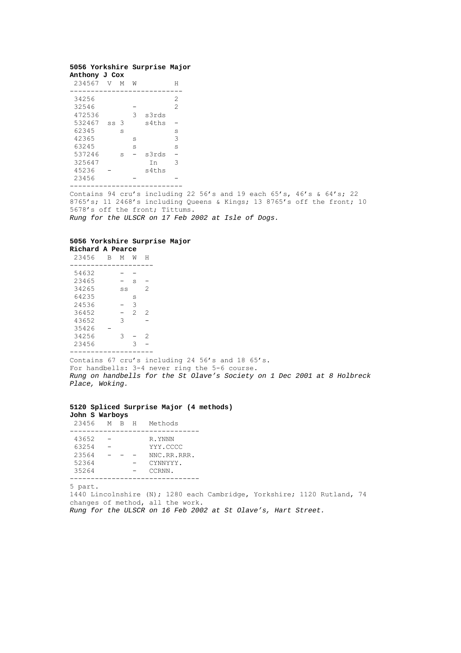#### **5056 Yorkshire Surprise Major Anthony J Cox**

| 234567 | V              | М | W |       | Н              |
|--------|----------------|---|---|-------|----------------|
| 34256  |                |   |   |       | 2              |
| 32546  |                |   |   |       | $\overline{2}$ |
| 472536 |                |   | 3 | s3rds |                |
| 532467 | S <sub>S</sub> | 3 |   | s4ths |                |
| 62345  |                | S |   |       | S              |
| 42365  |                |   | S |       | 3              |
| 63245  |                |   | S |       | S              |
| 537246 |                | S |   | s3rds |                |
| 325647 |                |   |   | Ιn    | 3              |
| 45236  |                |   |   | s4ths |                |
| 23456  |                |   |   |       |                |
|        |                |   |   |       |                |

Contains 94 cru's including 22 56's and 19 each  $65's$ ,  $46's$  &  $64's$ ; 22 8765's; 11 2468's including Queens & Kings; 13 8765's off the front; 10 5678's off the front; Tittums. *Rung for the ULSCR on 17 Feb 2002 at Isle of Dogs.*

## **5056 Yorkshire Surprise Major**

**Richard A Pearce** 23456 B M W H -------------------- 54632<br>23465  $\begin{array}{ccc} - & s & - \\ ss & 2 \end{array}$ 23465<br>34265<br>64235 64235 s 24536 - 3 36452 - 2 2 43652 3 - 35426 -  $34256$   $3 - 2$ <br>23456  $3 3 -$ --------------------

Contains 67 cru's including 24 56's and 18 65's. For handbells: 3-4 never ring the 5-6 course. *Rung on handbells for the St Olave's Society on 1 Dec 2001 at 8 Holbreck Place, Woking.*

### **5120 Spliced Surprise Major (4 methods) John S Warboys** 23456 M B H Methods

| 43652<br>63254<br>23564<br>52364<br>35264 |  | R.YNNN<br>YYY.CCCC<br>NNC.RR.RRR.<br>CYNNYYY.<br>CCRNN. |
|-------------------------------------------|--|---------------------------------------------------------|
|                                           |  |                                                         |

5 part.

1440 Lincolnshire (N); 1280 each Cambridge, Yorkshire; 1120 Rutland, 74 changes of method, all the work. *Rung for the ULSCR on 16 Feb 2002 at St Olave's, Hart Street.*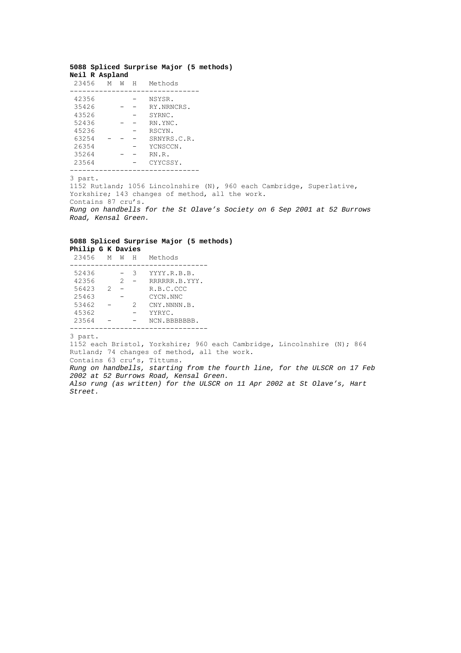### **5088 Spliced Surprise Major (5 methods) Neil R Aspland**

| 23456 | М | W | Н | Methods     |
|-------|---|---|---|-------------|
| 42356 |   |   |   | NSYSR.      |
| 35426 |   |   |   | RY.NRNCRS.  |
| 43526 |   |   |   | SYRNC.      |
| 52436 |   |   |   | RN.YNC.     |
| 45236 |   |   |   | RSCYN.      |
| 63254 |   |   |   | SRNYRS.C.R. |
| 26354 |   |   |   | YCNSCCN.    |
| 35264 |   |   |   | RN.R.       |
| 23564 |   |   |   | CYYCSSY.    |
|       |   |   |   |             |

3 part.

1152 Rutland; 1056 Lincolnshire (N), 960 each Cambridge, Superlative, Yorkshire; 143 changes of method, all the work. Contains 87 cru's. *Rung on handbells for the St Olave's Society on 6 Sep 2001 at 52 Burrows Road, Kensal Green.*

#### **5088 Spliced Surprise Major (5 methods) Philip G K Davies**

| 23456 | M | W | H | Methods       |
|-------|---|---|---|---------------|
|       |   |   |   |               |
| 52436 |   |   | З | YYYY.R.B.B.   |
| 42356 |   | 2 |   | RRRRRR.B.YYY. |
| 56423 | 2 |   |   | R.B.C.CCC     |
| 25463 |   |   |   | CYCN.NNC      |
| 53462 |   |   | 2 | CNY.NNNN.B.   |
| 45362 |   |   |   | YYRYC.        |
| 23564 |   |   |   | NCN.BBBBBBB.  |
|       |   |   |   |               |

3 part.

1152 each Bristol, Yorkshire; 960 each Cambridge, Lincolnshire (N); 864 Rutland; 74 changes of method, all the work. Contains 63 cru's, Tittums. *Rung on handbells, starting from the fourth line, for the ULSCR on 17 Feb 2002 at 52 Burrows Road, Kensal Green.*

*Also rung (as written) for the ULSCR on 11 Apr 2002 at St Olave's, Hart Street.*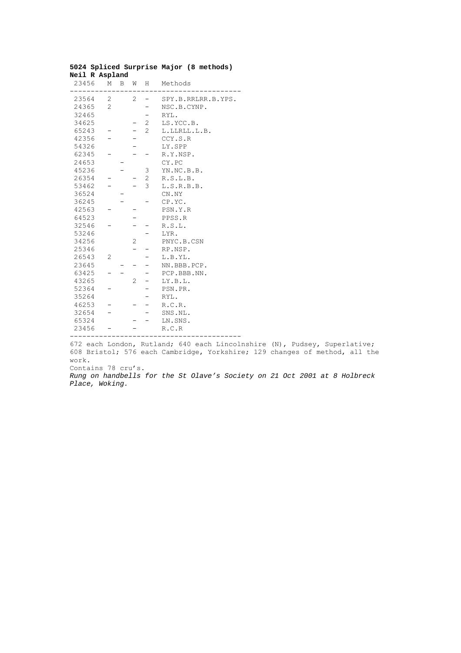| 23456 |                | M B | <b>M</b>       | H                        | Methods            |
|-------|----------------|-----|----------------|--------------------------|--------------------|
| 23564 | 2              |     | 2              | -                        | SPY.B.RRLRR.B.YPS. |
| 24365 | $\overline{2}$ |     |                |                          | NSC.B.CYNP.        |
| 32465 |                |     |                |                          | RYL.               |
| 34625 |                |     |                | $2^{\circ}$              | LS.YCC.B.          |
| 65243 |                |     |                | $\overline{2}$           | L.LLRLL.L.B.       |
| 42356 |                |     |                |                          | CCY.S.R            |
| 54326 |                |     |                |                          | LY.SPP             |
| 62345 |                |     |                |                          | R.Y.NSP.           |
| 24653 |                |     |                |                          | CY.PC              |
| 45236 |                |     |                | 3                        | YN.NC.B.B.         |
| 26354 |                |     |                | $2^{\circ}$              | R.S.L.B.           |
| 53462 |                |     |                | $\mathcal{E}$            | L.S.R.B.B.         |
| 36524 |                |     |                |                          | CN.NY              |
| 36245 |                |     |                |                          | CP.YC.             |
| 42563 |                |     |                |                          | PSN.Y.R            |
| 64523 |                |     |                |                          | PPSS.R             |
| 32546 |                |     |                |                          | R.S.L.             |
| 53246 |                |     |                |                          | LYR.               |
| 34256 |                |     | 2              |                          | PNYC.B.CSN         |
| 25346 |                |     |                |                          | RP.NSP.            |
| 26543 | $\overline{2}$ |     |                |                          | L.B.YL.            |
| 23645 |                |     |                |                          | NN.BBB.PCP.        |
| 63425 |                |     |                |                          | PCP.BBB.NN.        |
| 43265 |                |     | $\overline{2}$ | $\overline{\phantom{0}}$ | LY.B.L.            |
| 52364 |                |     |                |                          | PSN.PR.            |
| 35264 |                |     |                | -                        | RYL.               |
| 46253 |                |     |                | $-$                      | R.C.R.             |
| 32654 |                |     |                |                          | SNS.NL.            |
| 65324 |                |     |                |                          | LN.SNS.            |
| 23456 |                |     |                |                          | R.C.R              |
|       |                |     |                |                          |                    |

#### **5024 Spliced Surprise Major (8 methods) Neil R Aspland**

672 each London, Rutland; 640 each Lincolnshire (N), Pudsey, Superlative; 608 Bristol; 576 each Cambridge, Yorkshire; 129 changes of method, all the work.

Contains 78 cru's.

*Rung on handbells for the St Olave's Society on 21 Oct 2001 at 8 Holbreck Place, Woking.*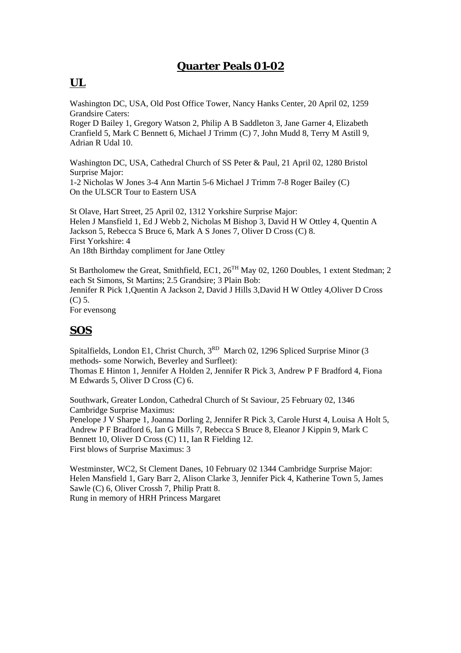# **Quarter Peals 01-02**

# **UL**

Washington DC, USA, Old Post Office Tower, Nancy Hanks Center, 20 April 02, 1259 Grandsire Caters:

Roger D Bailey 1, Gregory Watson 2, Philip A B Saddleton 3, Jane Garner 4, Elizabeth Cranfield 5, Mark C Bennett 6, Michael J Trimm (C) 7, John Mudd 8, Terry M Astill 9, Adrian R Udal 10.

Washington DC, USA, Cathedral Church of SS Peter & Paul, 21 April 02, 1280 Bristol Surprise Major: 1-2 Nicholas W Jones 3-4 Ann Martin 5-6 Michael J Trimm 7-8 Roger Bailey (C)

On the ULSCR Tour to Eastern USA

St Olave, Hart Street, 25 April 02, 1312 Yorkshire Surprise Major: Helen J Mansfield 1, Ed J Webb 2, Nicholas M Bishop 3, David H W Ottley 4, Quentin A Jackson 5, Rebecca S Bruce 6, Mark A S Jones 7, Oliver D Cross (C) 8. First Yorkshire: 4 An 18th Birthday compliment for Jane Ottley

St Bartholomew the Great, Smithfield, EC1,  $26<sup>TH</sup>$  May 02, 1260 Doubles, 1 extent Stedman; 2 each St Simons, St Martins; 2.5 Grandsire; 3 Plain Bob: Jennifer R Pick 1,Quentin A Jackson 2, David J Hills 3,David H W Ottley 4,Oliver D Cross (C) 5.

For evensong

# **SOS**

Spitalfields, London E1, Christ Church, 3<sup>RD</sup> March 02, 1296 Spliced Surprise Minor (3) methods- some Norwich, Beverley and Surfleet):

Thomas E Hinton 1, Jennifer A Holden 2, Jennifer R Pick 3, Andrew P F Bradford 4, Fiona M Edwards 5, Oliver D Cross (C) 6.

Southwark, Greater London, Cathedral Church of St Saviour, 25 February 02, 1346 Cambridge Surprise Maximus:

Penelope J V Sharpe 1, Joanna Dorling 2, Jennifer R Pick 3, Carole Hurst 4, Louisa A Holt 5, Andrew P F Bradford 6, Ian G Mills 7, Rebecca S Bruce 8, Eleanor J Kippin 9, Mark C Bennett 10, Oliver D Cross (C) 11, Ian R Fielding 12. First blows of Surprise Maximus: 3

Westminster, WC2, St Clement Danes, 10 February 02 1344 Cambridge Surprise Major: Helen Mansfield 1, Gary Barr 2, Alison Clarke 3, Jennifer Pick 4, Katherine Town 5, James Sawle (C) 6, Oliver Crossh 7, Philip Pratt 8. Rung in memory of HRH Princess Margaret